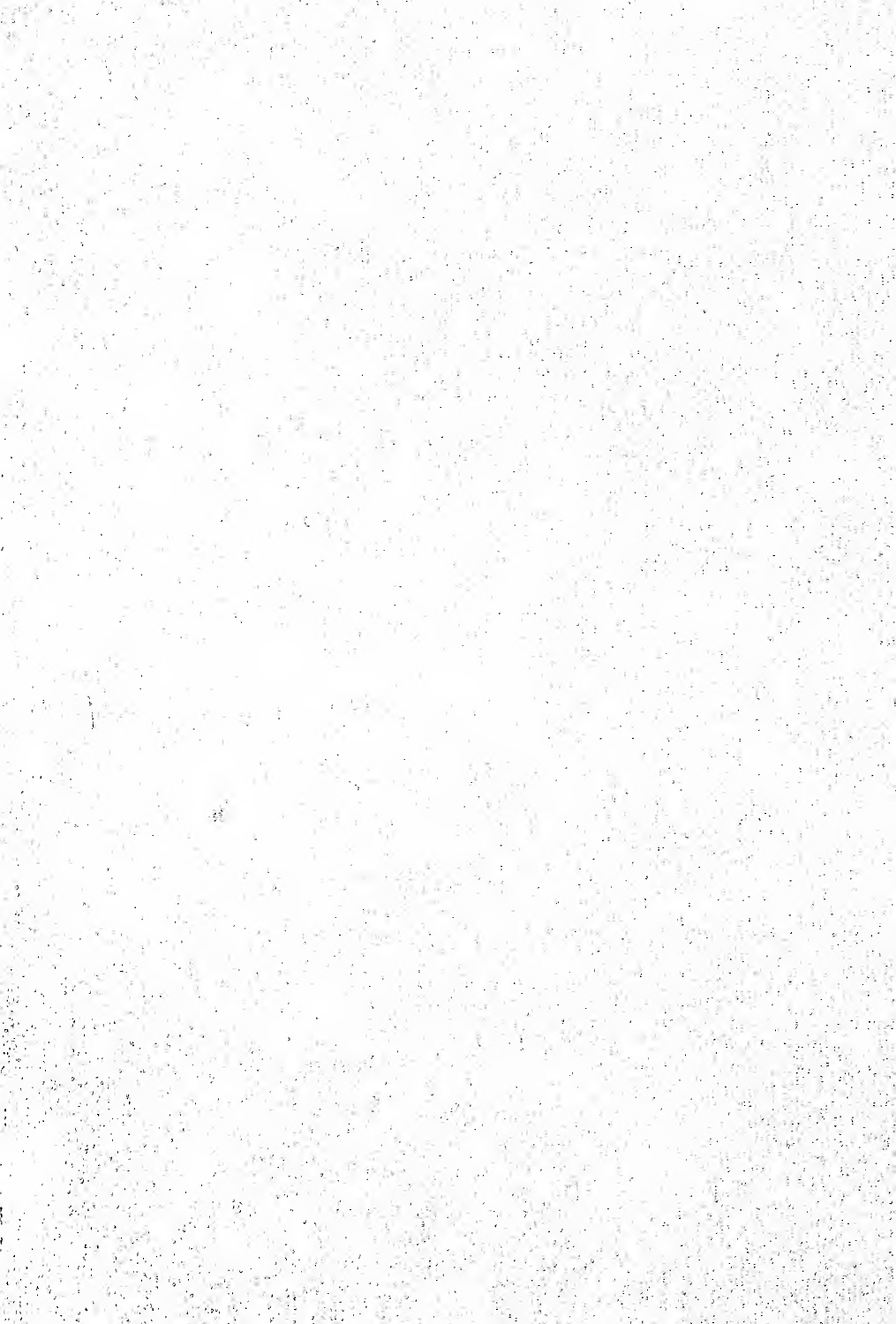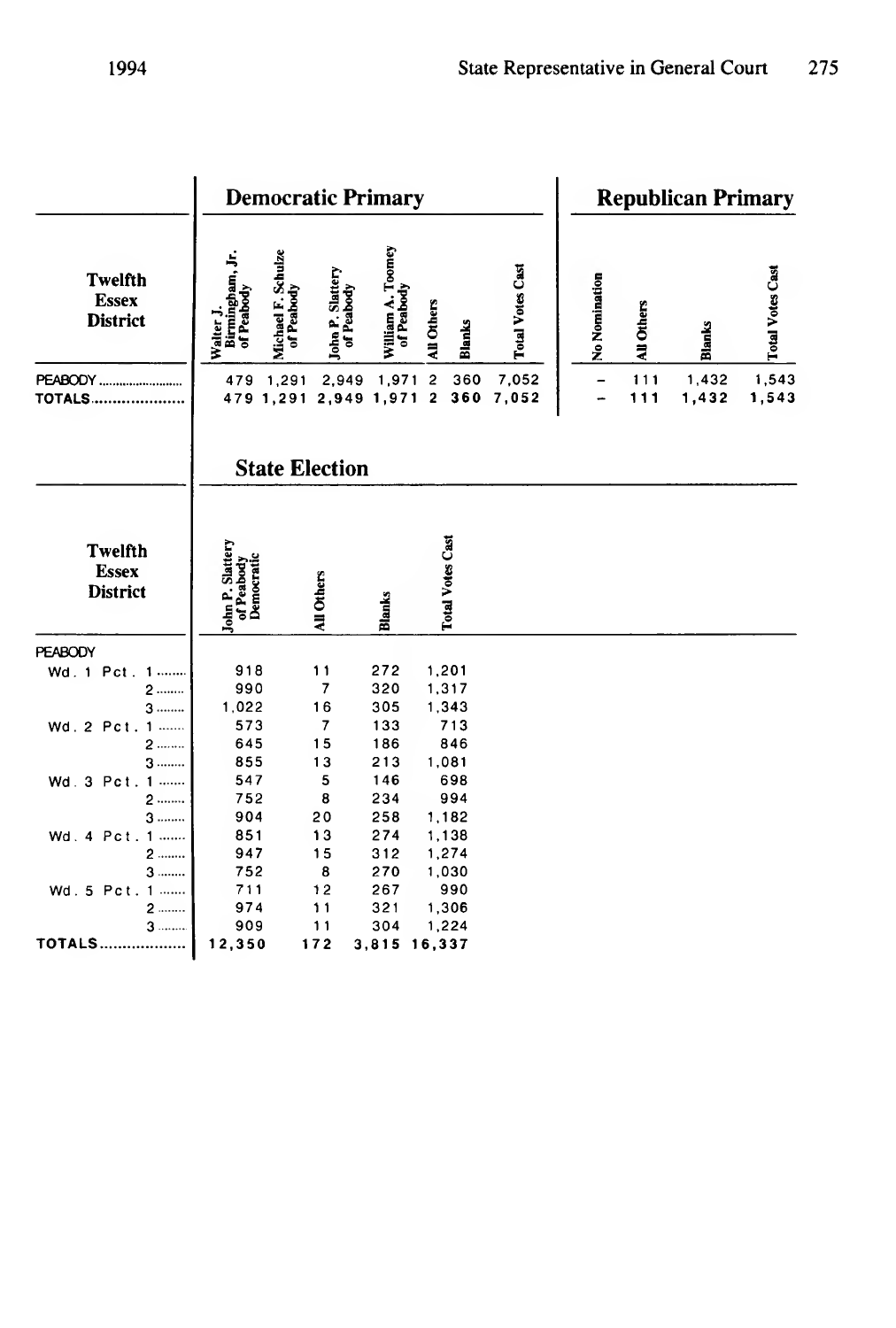|                                            |                                              | <b>Democratic Primary</b>        |                                                                          |                                             |                         |                |            | <b>Republican Primary</b> |                         |
|--------------------------------------------|----------------------------------------------|----------------------------------|--------------------------------------------------------------------------|---------------------------------------------|-------------------------|----------------|------------|---------------------------|-------------------------|
| Twelfth<br><b>Essex</b><br><b>District</b> | Birmingham, Jr.<br>of Peabody<br>Walter J.   | Michael F. Schulze<br>of Peabody | William A. Toomey<br>of Peabody<br><b>John P. Slattery</b><br>of Peabody | All Others<br><b>Blanks</b>                 | <b>Total Votes Cast</b> | No Nomination  | All Others | <b>Blanks</b>             | <b>Total Votes Cast</b> |
| PEABODY<br><b>TOTALS</b>                   | 479                                          | 1,291<br>479 1,291 2,949 1,971   | 2,949<br>1,971                                                           | $\mathbf 2$<br>360<br>$\overline{2}$<br>360 | 7,052<br>7,052          | $\overline{a}$ | 111<br>111 | 1,432<br>1,432            | 1,543<br>1,543          |
|                                            |                                              | <b>State Election</b>            |                                                                          |                                             |                         |                |            |                           |                         |
| Twelfth<br><b>Essex</b><br><b>District</b> | John P. Slattery<br>of Peabody<br>Democratic | <b>All Others</b>                | Blanks                                                                   | <b>Total Votes Cast</b>                     |                         |                |            |                           |                         |
| <b>PEABODY</b><br>Wd. 1 Pct. 1<br>2        | 918<br>990                                   | 11<br>$\overline{7}$             | 272<br>320                                                               | 1,201<br>1,317                              |                         |                |            |                           |                         |
| 3<br>Wd. 2 Pct. 1<br>2                     | 1,022<br>573<br>645<br>855                   | 16<br>$\overline{7}$<br>15<br>13 | 305<br>133<br>186<br>213                                                 | 1,343<br>713<br>846<br>1,081                |                         |                |            |                           |                         |
| 3<br>Wd. 3 Pct. 1<br>2<br>$3$              | 547<br>752<br>904                            | 5<br>8<br>20                     | 146<br>234<br>258                                                        | 698<br>994<br>1,182                         |                         |                |            |                           |                         |
| Wd. 4 Pct. 1<br>2<br>3<br>Wd. 5 Pct. 1     | 851<br>947<br>752<br>711                     | 13<br>15<br>8<br>12              | 274<br>312<br>270<br>267                                                 | 1,138<br>1,274<br>1,030<br>990              |                         |                |            |                           |                         |
| 2<br>$3$<br><b>TOTALS</b>                  | 974<br>909<br>12,350                         | 11<br>11<br>172                  | 321<br>304                                                               | 1,306<br>1,224<br>3,815 16,337              |                         |                |            |                           |                         |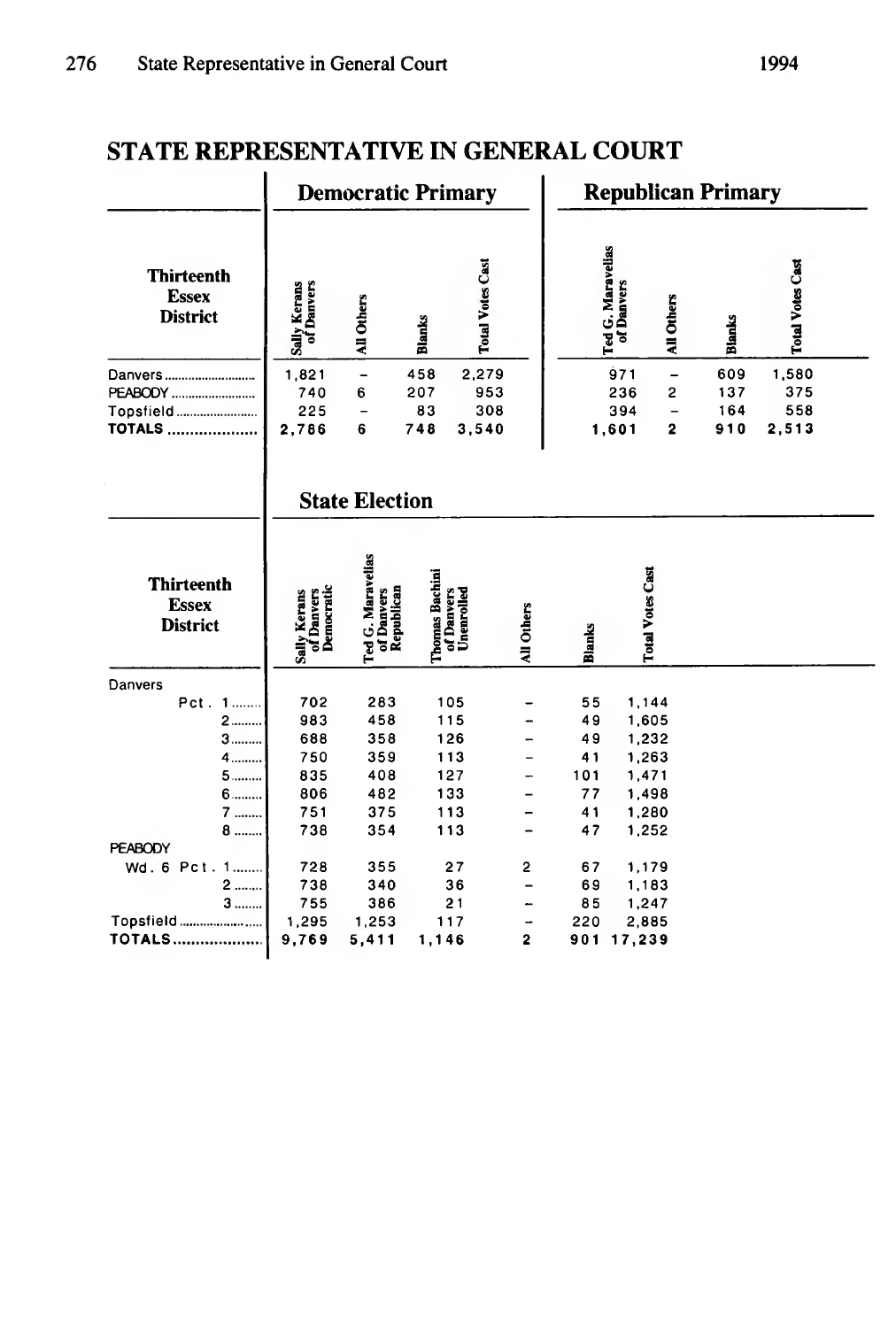|                                                      |                                          |                                               | <b>Democratic Primary</b>                         |                     |               |                                 |                                           | <b>Republican Primary</b> |                         |  |
|------------------------------------------------------|------------------------------------------|-----------------------------------------------|---------------------------------------------------|---------------------|---------------|---------------------------------|-------------------------------------------|---------------------------|-------------------------|--|
| <b>Thirteenth</b><br><b>Essex</b><br><b>District</b> | Sally Kerans<br>of Danvers               | All Others                                    | <b>Total Votes Cast</b><br><b>Blanks</b>          |                     |               | Ted G. Maravelias<br>of Danvers | All Others                                | <b>Blanks</b>             | <b>Total Votes Cast</b> |  |
| Danvers                                              | 1,821                                    | $\overline{a}$                                | 2,279<br>458                                      |                     |               | 971                             | $\overline{\phantom{a}}$                  | 609                       | 1,580                   |  |
| PEABODY                                              | 740                                      | 6                                             | 953<br>207                                        |                     |               | 236                             | 2                                         | 137                       | 375                     |  |
| Topsfield                                            | 225                                      | $\qquad \qquad -$                             | 308<br>83                                         |                     |               | 394                             | $\overline{a}$<br>$\overline{\mathbf{2}}$ | 164<br>910                | 558                     |  |
| <b>TOTALS</b>                                        | 2,786                                    | 6                                             | 3,540<br>748                                      |                     |               | 1,601                           |                                           |                           | 2,513                   |  |
|                                                      |                                          | <b>State Election</b>                         |                                                   |                     |               |                                 |                                           |                           |                         |  |
| <b>Thirteenth</b><br><b>Essex</b><br><b>District</b> | of Danvers<br>Democratic<br>Sally Kerans | Ted G. Maravellas<br>of Danvers<br>Republican | <b>Thomas Bachini</b><br>of Danvers<br>Unenrolled | All Others          | <b>Blanks</b> | <b>Total Votes Cast</b>         |                                           |                           |                         |  |
| Danvers                                              |                                          |                                               |                                                   |                     |               |                                 |                                           |                           |                         |  |
| Pct. 1                                               | 702                                      | 283                                           | 105                                               |                     | 55            | 1.144                           |                                           |                           |                         |  |
| 2                                                    | 983                                      | 458                                           | 115                                               |                     | 49            | 1,605                           |                                           |                           |                         |  |
| 3                                                    | 688                                      | 358                                           | 126                                               | -                   | 49            | 1,232                           |                                           |                           |                         |  |
| 4                                                    | 750                                      | 359                                           | 113                                               | $\overline{a}$      | 41            | 1.263                           |                                           |                           |                         |  |
| 5                                                    | 835                                      | 408                                           | 127                                               | -                   | 101           | 1,471                           |                                           |                           |                         |  |
| 6                                                    | 806<br>751                               | 482<br>375                                    | 133<br>113                                        | $\overline{a}$<br>- | 77<br>41      | 1,498                           |                                           |                           |                         |  |
| $7$<br>8                                             | 738                                      | 354                                           | 113                                               | $\overline{a}$      | 47            | 1,280<br>1,252                  |                                           |                           |                         |  |
| <b>PEABODY</b>                                       |                                          |                                               |                                                   |                     |               |                                 |                                           |                           |                         |  |
| Wd. 6 Pct. 1                                         | 728                                      | 355                                           | 27                                                | 2                   | 67            | 1,179                           |                                           |                           |                         |  |
| 2                                                    | 738                                      | 340                                           | 36                                                | $\overline{a}$      | 69            | 1,183                           |                                           |                           |                         |  |
| $3$                                                  | 755                                      | 386                                           | 21                                                | -                   | 85            | 1,247                           |                                           |                           |                         |  |
|                                                      | 1,295                                    | 1,253                                         | 117                                               | -                   | 220           | 2,885                           |                                           |                           |                         |  |
| <b>TOTALS</b>                                        | 9,769                                    | 5,411                                         | 1,146                                             | 2                   |               | 901 17,239                      |                                           |                           |                         |  |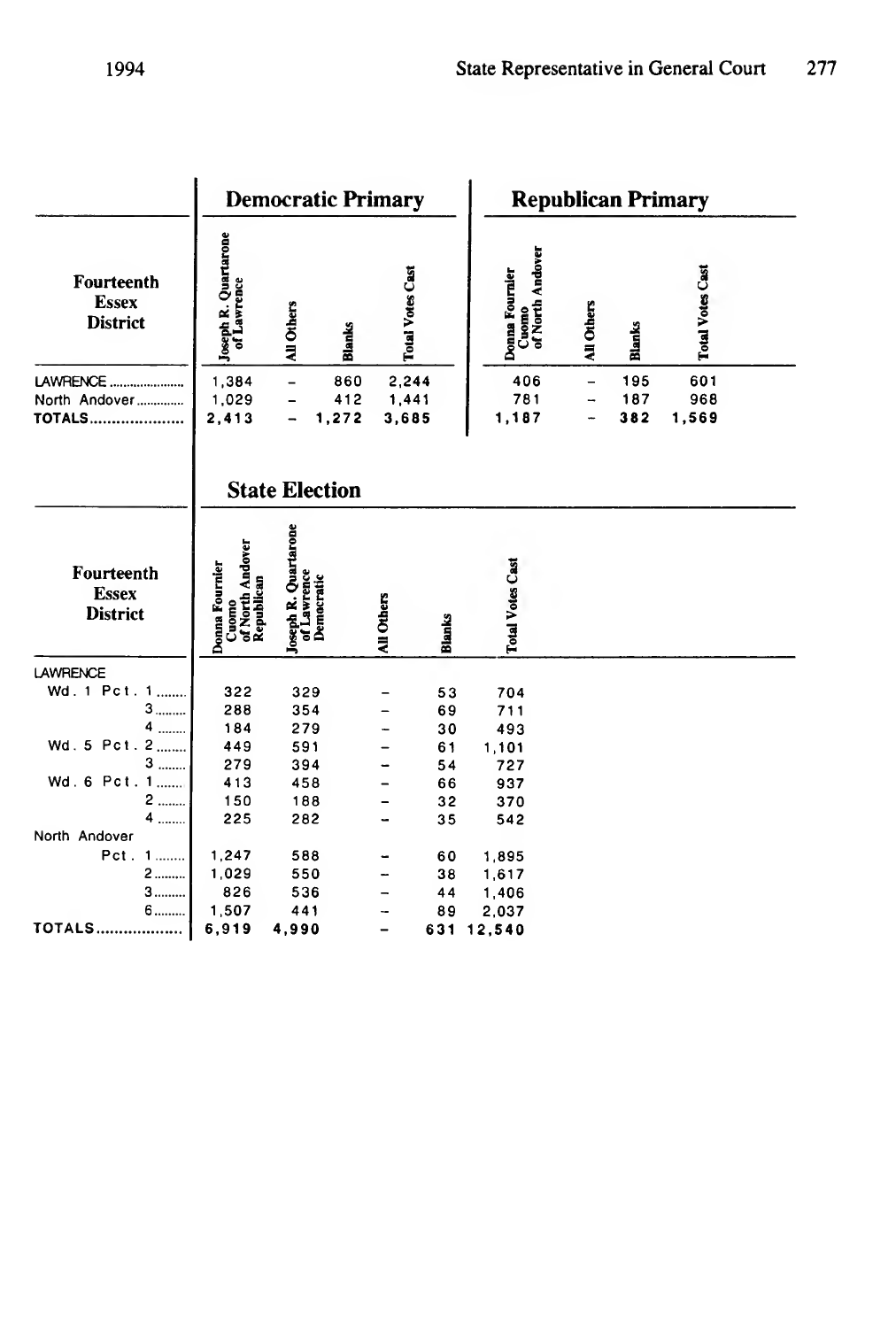|                                               |                                                           | <b>Democratic Primary</b>                         |               |                         |        | <b>Republican Primary</b>                   |                          |               |                         |  |  |  |
|-----------------------------------------------|-----------------------------------------------------------|---------------------------------------------------|---------------|-------------------------|--------|---------------------------------------------|--------------------------|---------------|-------------------------|--|--|--|
| Fourteenth<br><b>Essex</b><br><b>District</b> | Joseph R. Quartarone<br>of Lawrence                       | All Others                                        | <b>Blanks</b> | <b>Total Votes Cast</b> |        | Cuomo<br>of North Andover<br>Donna Fournier | <b>All Others</b>        | <b>Blanks</b> | <b>Total Votes Cast</b> |  |  |  |
| LAWRENCE                                      | 1,384                                                     | L,                                                | 860           | 2.244                   |        | 406                                         | $\qquad \qquad -$        | 195           | 601                     |  |  |  |
| North Andover                                 | 1,029                                                     | $\overline{a}$                                    | 412           | 1,441                   |        | 781                                         | $\overline{\phantom{a}}$ | 187           | 968                     |  |  |  |
| <b>TOTALS</b>                                 | 2,413                                                     | $\overline{\phantom{0}}$                          | 1,272         | 3,685                   |        | 1,187                                       |                          | 382           | 1,569                   |  |  |  |
|                                               |                                                           | <b>State Election</b>                             |               |                         |        |                                             |                          |               |                         |  |  |  |
| Fourteenth<br><b>Essex</b><br><b>District</b> | Cuomo<br>of North Andover<br>Republican<br>Donna Fournier | Joseph R. Quartarone<br>of Lawrence<br>Democratic |               | All Others              | Blanks | <b>Total Votes Cast</b>                     |                          |               |                         |  |  |  |
| <b>LAWRENCE</b>                               |                                                           |                                                   |               |                         |        |                                             |                          |               |                         |  |  |  |
| Wd. 1 Pct. 1                                  | 322                                                       | 329                                               |               |                         | 53     | 704                                         |                          |               |                         |  |  |  |
| $3$                                           | 288                                                       | 354                                               |               |                         | 69     | 711                                         |                          |               |                         |  |  |  |
| $4$                                           | 184                                                       | 279                                               |               |                         | 30     | 493                                         |                          |               |                         |  |  |  |
| Wd. 5 Pct. 2                                  | 449                                                       | 591                                               |               |                         | 61     | 1,101                                       |                          |               |                         |  |  |  |
| $3$                                           | 279                                                       | 394                                               |               |                         | 54     | 727                                         |                          |               |                         |  |  |  |
| Wd. 6 Pct. 1                                  | 413                                                       | 458                                               |               |                         | 66     | 937                                         |                          |               |                         |  |  |  |
| 2                                             | 150                                                       | 188                                               |               |                         | 32     | 370                                         |                          |               |                         |  |  |  |
| 4<br>1.1.1.1.1                                | 225                                                       | 282                                               |               |                         | 35     | 542                                         |                          |               |                         |  |  |  |
| North Andover                                 |                                                           |                                                   |               |                         |        |                                             |                          |               |                         |  |  |  |
| Pct. 1                                        | 1,247                                                     | 588                                               |               |                         | 60     | 1,895                                       |                          |               |                         |  |  |  |
| 2                                             | 1,029                                                     | 550                                               |               |                         | 38     | 1,617                                       |                          |               |                         |  |  |  |
| 3                                             | 826                                                       | 536                                               |               |                         | 44     | 1,406                                       |                          |               |                         |  |  |  |
| 6………                                          | 1,507                                                     | 441                                               |               |                         | 89     | 2.037                                       |                          |               |                         |  |  |  |
| <b>TOTALS</b>                                 | 6,919                                                     | 4,990                                             |               |                         |        | 631 12,540                                  |                          |               |                         |  |  |  |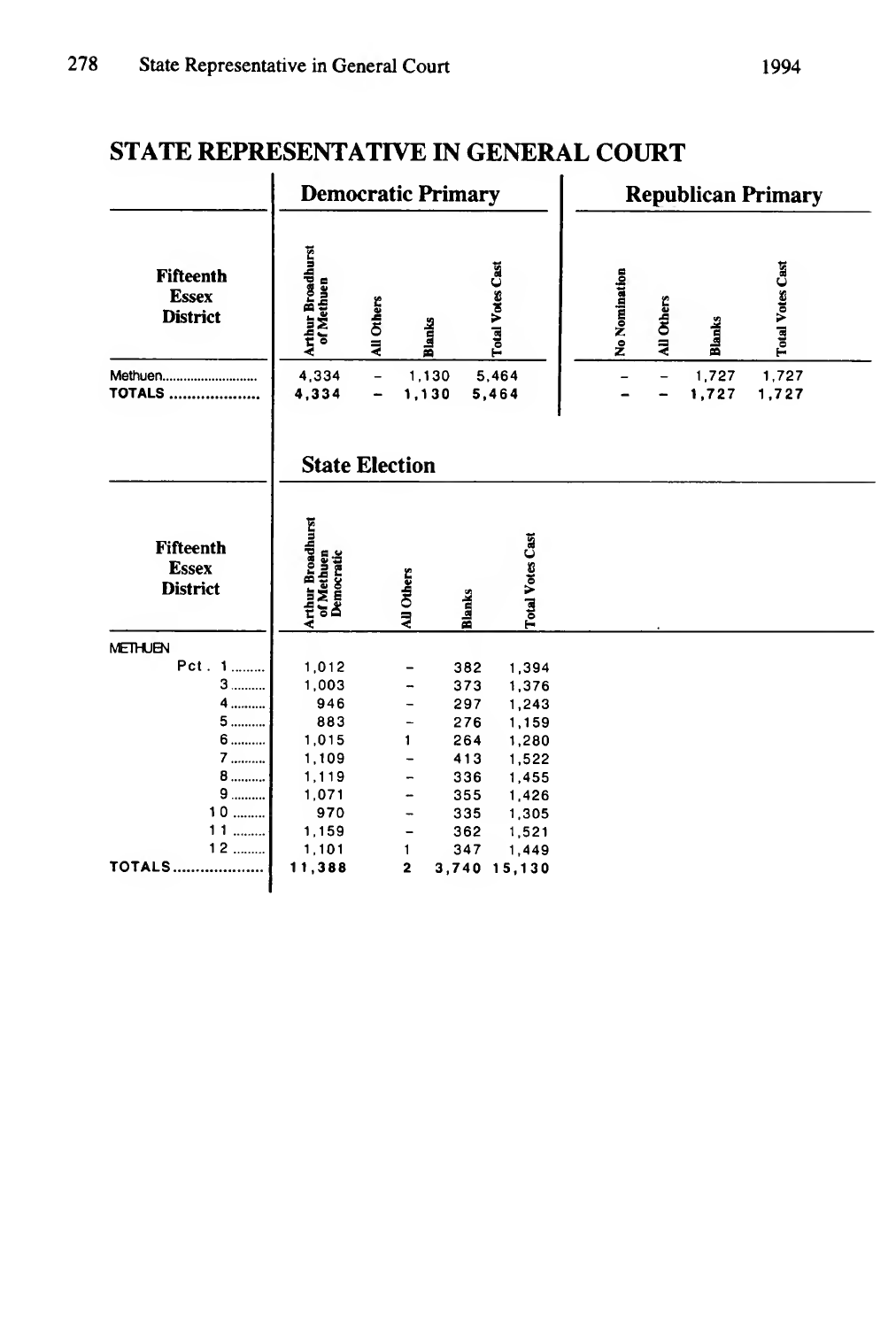|                                                     |                                               | <b>Democratic Primary</b> |                |                         |               |            |                | <b>Republican Primary</b> |  |
|-----------------------------------------------------|-----------------------------------------------|---------------------------|----------------|-------------------------|---------------|------------|----------------|---------------------------|--|
| <b>Fifteenth</b><br><b>Essex</b><br><b>District</b> | Arthur Broadhurst<br>of Methuen               | All Others                | <b>Blanks</b>  | <b>Total Votes Cast</b> | No Nomination | All Others | <b>Blanks</b>  | <b>Total Votes Cast</b>   |  |
| Methuen<br><b>TOTALS</b>                            | 4.334<br>4,334                                | ۰                         | 1.130<br>1,130 | 5,464<br>5,464          |               | ۰          | 1,727<br>1,727 | 1,727<br>1,727            |  |
|                                                     |                                               | <b>State Election</b>     |                |                         |               |            |                |                           |  |
| <b>Fifteenth</b><br><b>Essex</b><br><b>District</b> | Arthur Broadhurst<br>of Methuen<br>Democratic | All Others                | <b>Blanks</b>  | <b>Total Votes Cast</b> |               |            |                |                           |  |
| <b>METHUEN</b>                                      |                                               |                           |                |                         |               |            |                |                           |  |
| Pct. 1                                              | 1,012                                         |                           | 382            | 1.394                   |               |            |                |                           |  |
| $3$                                                 | 1,003                                         |                           | 373            | 1,376                   |               |            |                |                           |  |
| 4                                                   | 946                                           |                           | 297            | 1,243                   |               |            |                |                           |  |
| $5$<br>$6$                                          | 883<br>1,015                                  | 1                         | 276<br>264     | 1,159<br>1,280          |               |            |                |                           |  |
| 7                                                   | 1,109                                         |                           | 413            | 1,522                   |               |            |                |                           |  |
| $8$                                                 | 1,119                                         | -                         | 336            | 1,455                   |               |            |                |                           |  |
| $9$                                                 | 1,071                                         | -                         | 355            | 1,426                   |               |            |                |                           |  |
| $10$                                                | 970                                           | $\blacksquare$            | 335            | 1,305                   |               |            |                |                           |  |
| $11$                                                | 1,159                                         | $\blacksquare$            | 362            | 1,521                   |               |            |                |                           |  |
| $12$                                                | 1,101                                         | 1                         | 347            | 1,449                   |               |            |                |                           |  |
| TOTALS                                              | 11,388                                        | $\overline{\mathbf{2}}$   |                | 3,740 15,130            |               |            |                |                           |  |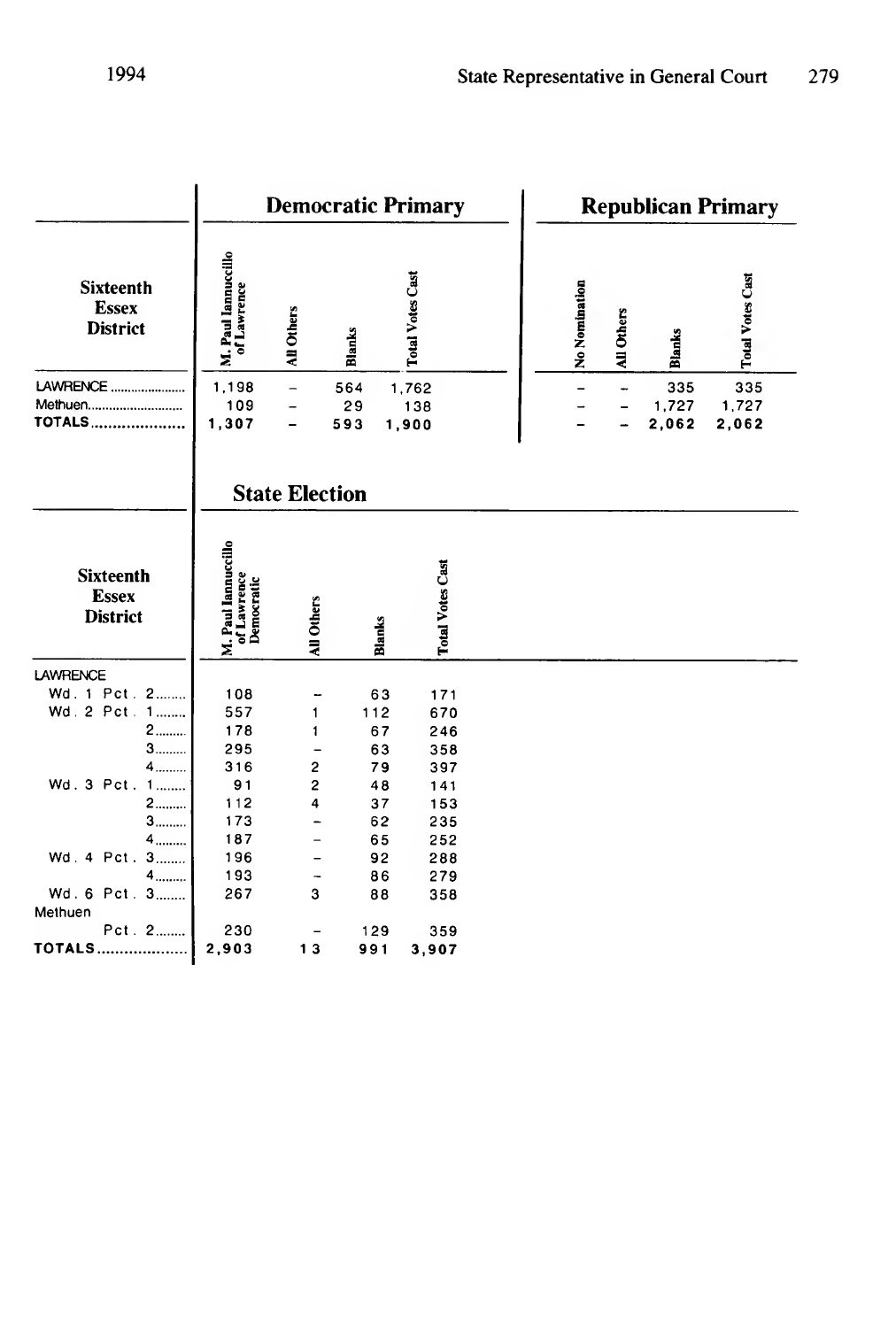|                                                     |                                                  |                          |               | <b>Democratic Primary</b> | <b>Republican Primary</b> |               |            |               |                         |  |
|-----------------------------------------------------|--------------------------------------------------|--------------------------|---------------|---------------------------|---------------------------|---------------|------------|---------------|-------------------------|--|
| <b>Sixteenth</b><br><b>Essex</b><br><b>District</b> | M. Paul Iannuccillo<br>of Lawrence               | All Others               | <b>Blanks</b> | <b>Total Votes Cast</b>   |                           | No Nomination | All Others | <b>Blanks</b> | <b>Total Votes Cast</b> |  |
| LAWRENCE                                            | 1,198                                            | $\overline{\phantom{0}}$ | 564           | 1,762                     |                           | L,            | ÷          | 335           | 335                     |  |
| Methuen                                             | 109                                              | ÷                        | 29            | 138                       |                           |               | -          | 1,727         | 1,727                   |  |
| <b>TOTALS</b>                                       | 1,307                                            | ۰                        | 593           | 1,900                     |                           |               | -          | 2,062         | 2,062                   |  |
|                                                     |                                                  | <b>State Election</b>    |               |                           |                           |               |            |               |                         |  |
|                                                     |                                                  |                          |               |                           |                           |               |            |               |                         |  |
| <b>Sixteenth</b><br><b>Essex</b><br><b>District</b> | M. Paul lannuccillo<br>of Lawrence<br>Democratic | All Others               | <b>Blanks</b> | <b>Total Votes Cast</b>   |                           |               |            |               |                         |  |
| LAWRENCE                                            |                                                  |                          |               |                           |                           |               |            |               |                         |  |
| Wd. 1 Pct. 2                                        | 108                                              | $\ddot{\phantom{1}}$     | 63            | 171                       |                           |               |            |               |                         |  |
| Wd. 2 Pct.<br>$1$                                   | 557                                              | 1                        | 112           | 670                       |                           |               |            |               |                         |  |
| 2                                                   | 178                                              | 1                        | 67            | 246                       |                           |               |            |               |                         |  |
| $3$                                                 | 295                                              |                          | 63            | 358                       |                           |               |            |               |                         |  |
| $4$                                                 | 316                                              | 2                        | 79            | 397                       |                           |               |            |               |                         |  |
| Wd. 3 Pct. 1                                        | 91                                               | 2                        | 48            | 141                       |                           |               |            |               |                         |  |
| $2$                                                 | 112                                              | 4                        | 37            | 153                       |                           |               |            |               |                         |  |
| $3$                                                 | 173                                              |                          | 62            | 235                       |                           |               |            |               |                         |  |
| $4$                                                 | 187                                              | -                        | 65            | 252                       |                           |               |            |               |                         |  |
| Wd. 4 Pct.<br>3                                     | 196                                              | -                        | 92            | 288                       |                           |               |            |               |                         |  |
| 4………                                                | 193                                              | -                        | 86            | 279                       |                           |               |            |               |                         |  |
| Wd. 6 Pct. 3<br>Methuen                             | 267                                              | 3                        | 88            | 358                       |                           |               |            |               |                         |  |
| Pct. 2                                              | 230                                              |                          | 129           | 359                       |                           |               |            |               |                         |  |
| <b>TOTALS</b>                                       | 2,903                                            | 13                       | 991           | 3,907                     |                           |               |            |               |                         |  |
|                                                     |                                                  |                          |               |                           |                           |               |            |               |                         |  |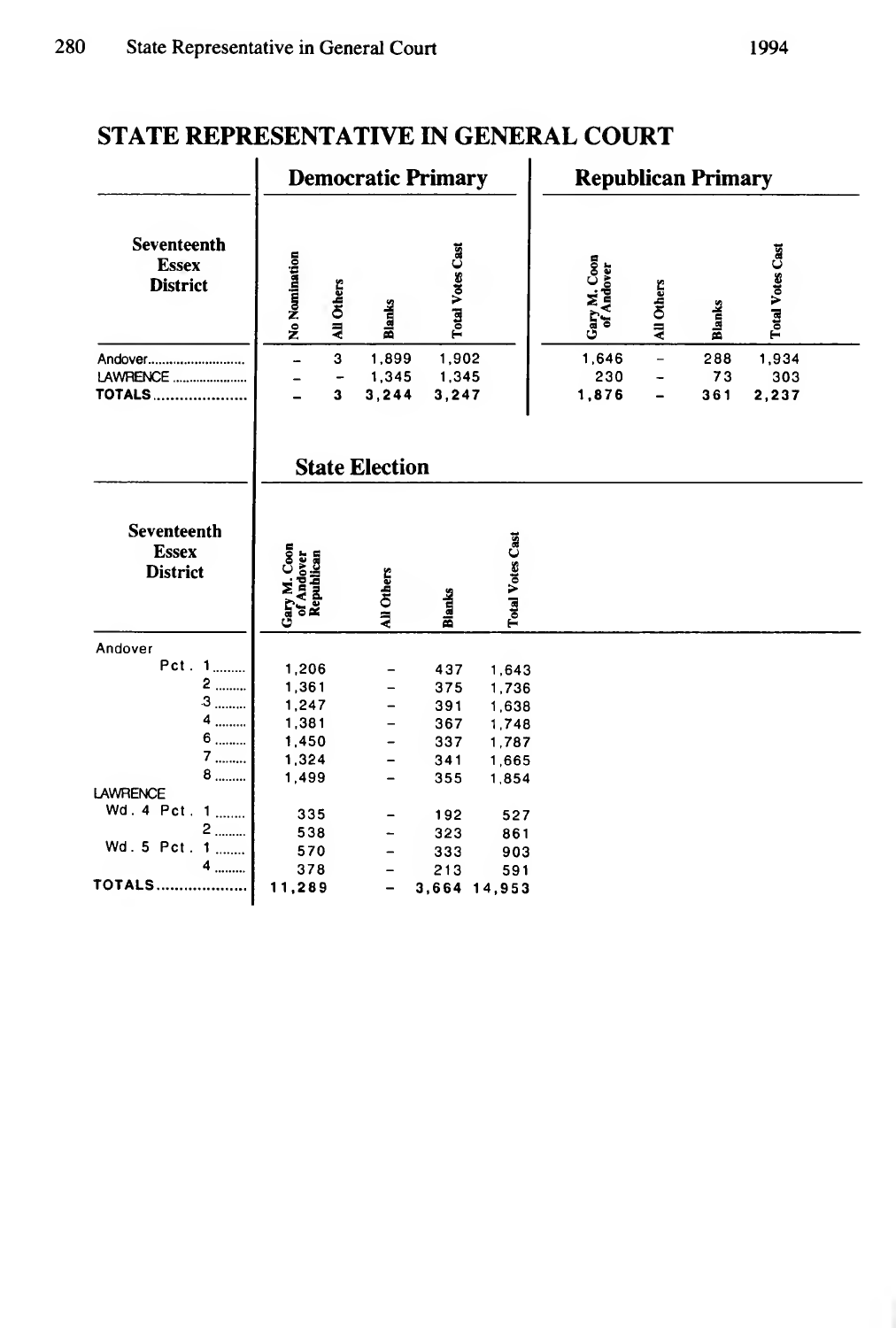|                                                                          | <b>Democratic Primary</b>                                   |                                    |                                               |                                                             | <b>Republican Primary</b>         |                                                 |                  |                         |  |
|--------------------------------------------------------------------------|-------------------------------------------------------------|------------------------------------|-----------------------------------------------|-------------------------------------------------------------|-----------------------------------|-------------------------------------------------|------------------|-------------------------|--|
| Seventeenth<br><b>Essex</b><br><b>District</b>                           | No Nomination<br>All Others                                 | <b>Blanks</b>                      | <b>Total Votes Cast</b>                       |                                                             | <b>Gary M. Coon</b><br>of Andover | All Others                                      | <b>Blanks</b>    | <b>Total Votes Cast</b> |  |
| Andover<br>LAWRENCE<br><b>TOTALS</b>                                     | 3<br>J.<br>٠<br>3                                           | 1,899<br>1,345<br>3,244            | 1,902<br>1,345<br>3,247                       |                                                             | 1,646<br>230<br>1,876             | $\overline{\phantom{0}}$<br>۰<br>$\overline{a}$ | 288<br>73<br>361 | 1,934<br>303<br>2,237   |  |
|                                                                          |                                                             | <b>State Election</b>              |                                               |                                                             |                                   |                                                 |                  |                         |  |
| Seventeenth<br><b>Essex</b><br><b>District</b>                           | Gary M. Coon<br>of Andover<br>Republican                    | All Others                         | <b>Blanks</b>                                 | <b>Total Votes Cast</b>                                     |                                   |                                                 |                  |                         |  |
| Andover<br>Pct. 1<br>2<br>$3$<br>4<br>$6$<br>$7$<br>8<br><b>LAWRENCE</b> | 1,206<br>1,361<br>1,247<br>1,381<br>1,450<br>1.324<br>1.499 | -<br>-<br>-<br>-<br>$\overline{a}$ | 437<br>375<br>391<br>367<br>337<br>341<br>355 | 1,643<br>1,736<br>1,638<br>1,748<br>1,787<br>1,665<br>1.854 |                                   |                                                 |                  |                         |  |
| Wd. 4 Pct.<br>$1$<br>2<br>Wd. 5 Pct. 1<br>4<br><b>TOTALS</b>             | 335<br>538<br>570<br>378<br>11,289                          | -<br>-<br>$\overline{\phantom{0}}$ | 192<br>323<br>333<br>213                      | 527<br>861<br>903<br>591<br>3,664 14,953                    |                                   |                                                 |                  |                         |  |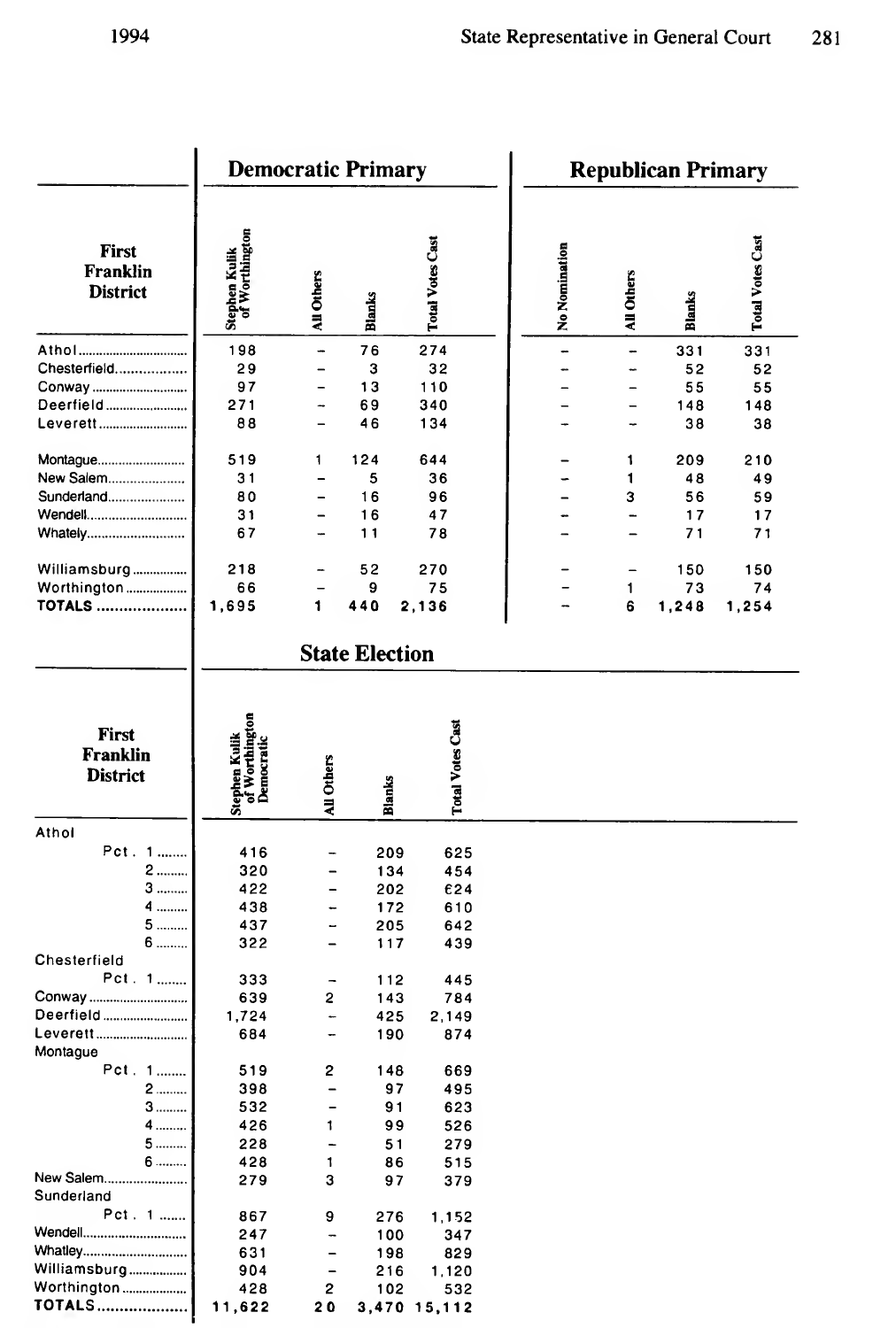|                                             |                                               |                          | <b>Democratic Primary</b> |                         |                |                | <b>Republican Primary</b> |                         |  |
|---------------------------------------------|-----------------------------------------------|--------------------------|---------------------------|-------------------------|----------------|----------------|---------------------------|-------------------------|--|
| <b>First</b><br>Franklin<br><b>District</b> | Stephen Kulik<br>of Worthington               | All Others               | <b>Blanks</b>             | <b>Total Votes Cast</b> | No Nomination  | All Others     | <b>Blanks</b>             | <b>Total Votes Cast</b> |  |
|                                             | 198                                           | $\overline{a}$           | 76                        | 274                     | $\overline{a}$ | $\overline{a}$ | 331                       | 331                     |  |
| Chesterfield                                | 29                                            | $\overline{a}$           | з                         | 32                      | -              | -              | 52                        | 52                      |  |
| Conway                                      | 97                                            | -                        | 13                        | 110                     | $\overline{a}$ | $\overline{a}$ | 55                        | 55                      |  |
| Deerfield<br>Leverett                       | 271<br>88                                     | $\overline{\phantom{a}}$ | 69<br>46                  | 340<br>134              | -<br>ä,        | -<br>à.        | 148                       | 148                     |  |
|                                             |                                               |                          |                           |                         |                |                | 38                        | 38                      |  |
| Montague                                    | 519                                           | 1                        | 124                       | 644                     |                | 1              | 209                       | 210                     |  |
| New Salem                                   | 31                                            | -                        | 5                         | 36                      | L.             | 1              | 48                        | 49                      |  |
| Sunderland                                  | 80                                            | L                        | 16                        | 96                      | $\overline{a}$ | з              | 56                        | 59                      |  |
| Wendell                                     | 31                                            | L.                       | 16                        | 47                      | -              | ÷              | 17                        | 17                      |  |
| <b>Whately</b>                              | 67                                            | ۰                        | 11                        | 78                      | $\overline{a}$ |                | 71                        | 71                      |  |
| Williamsburg                                | 218                                           |                          | 52                        | 270                     |                |                | 150                       | 150                     |  |
| Worthington                                 | 66                                            |                          | 9                         | 75                      |                | 1              | 73                        | 74                      |  |
| <b>TOTALS</b>                               | 1,695                                         | 1                        | 440                       | 2,136                   |                | 6              | 1,248                     | 1,254                   |  |
|                                             |                                               |                          |                           |                         |                |                |                           |                         |  |
|                                             |                                               |                          | <b>State Election</b>     |                         |                |                |                           |                         |  |
| First<br><b>Franklin</b><br><b>District</b> | Stephen Kulik<br>of Worthington<br>Democratic | All Others               | <b>Blanks</b>             | <b>Total Votes Cast</b> |                |                |                           |                         |  |
| Athol                                       |                                               |                          |                           |                         |                |                |                           |                         |  |
| Pct. 1                                      | 416                                           | -                        | 209                       | 625                     |                |                |                           |                         |  |
| 2                                           | 320                                           | ÷,                       | 134                       | 454                     |                |                |                           |                         |  |
| 3<br>4                                      | 422                                           | -                        | 202                       | €24                     |                |                |                           |                         |  |
| 5                                           | 438<br>437                                    | -<br>$\overline{a}$      | 172<br>205                | 610<br>642              |                |                |                           |                         |  |
| 6                                           | 322                                           | $\overline{a}$           | 117                       | 439                     |                |                |                           |                         |  |
| Chesterfield                                |                                               |                          |                           |                         |                |                |                           |                         |  |
| Pct. 1                                      | 333                                           | ۳                        | 112                       | 445                     |                |                |                           |                         |  |
| Conway                                      | 639                                           | 2                        | 143                       | 784                     |                |                |                           |                         |  |
| Deerfield                                   | 1,724                                         | $\sim$                   | 425                       | 2,149                   |                |                |                           |                         |  |
| Leverett<br>Montague                        | 684                                           |                          | 190                       | 874                     |                |                |                           |                         |  |
| Pct. 1                                      | 519                                           | 2                        | 148                       | 669                     |                |                |                           |                         |  |
| 2                                           | 398                                           | -                        | 97                        | 495                     |                |                |                           |                         |  |
| 3                                           | 532                                           | ٠                        | 91                        | 623                     |                |                |                           |                         |  |
| 4                                           | 426                                           | $\mathbf{1}$             | 99                        | 526                     |                |                |                           |                         |  |
| 5                                           | 228                                           | ÷                        | 51                        | 279                     |                |                |                           |                         |  |
| 6                                           | 428                                           | 1                        | 86                        | 515                     |                |                |                           |                         |  |
| New Salem                                   | 279                                           | з                        | 97                        | 379                     |                |                |                           |                         |  |
| Sunderland                                  |                                               |                          |                           |                         |                |                |                           |                         |  |
| Pct. 1<br>Wendell                           | 867<br>247                                    | 9                        | 276                       | 1,152                   |                |                |                           |                         |  |
| Whatley                                     | 631                                           | $\overline{a}$<br>-      | 100<br>198                | 347<br>829              |                |                |                           |                         |  |
| Williamsburg                                | 904                                           | $\overline{a}$           | 216                       | 1,120                   |                |                |                           |                         |  |
| Worthington                                 | 428                                           | 2                        | 102                       | 532                     |                |                |                           |                         |  |
| TOTALS                                      | 11,622                                        | 20                       |                           | 3,470 15,112            |                |                |                           |                         |  |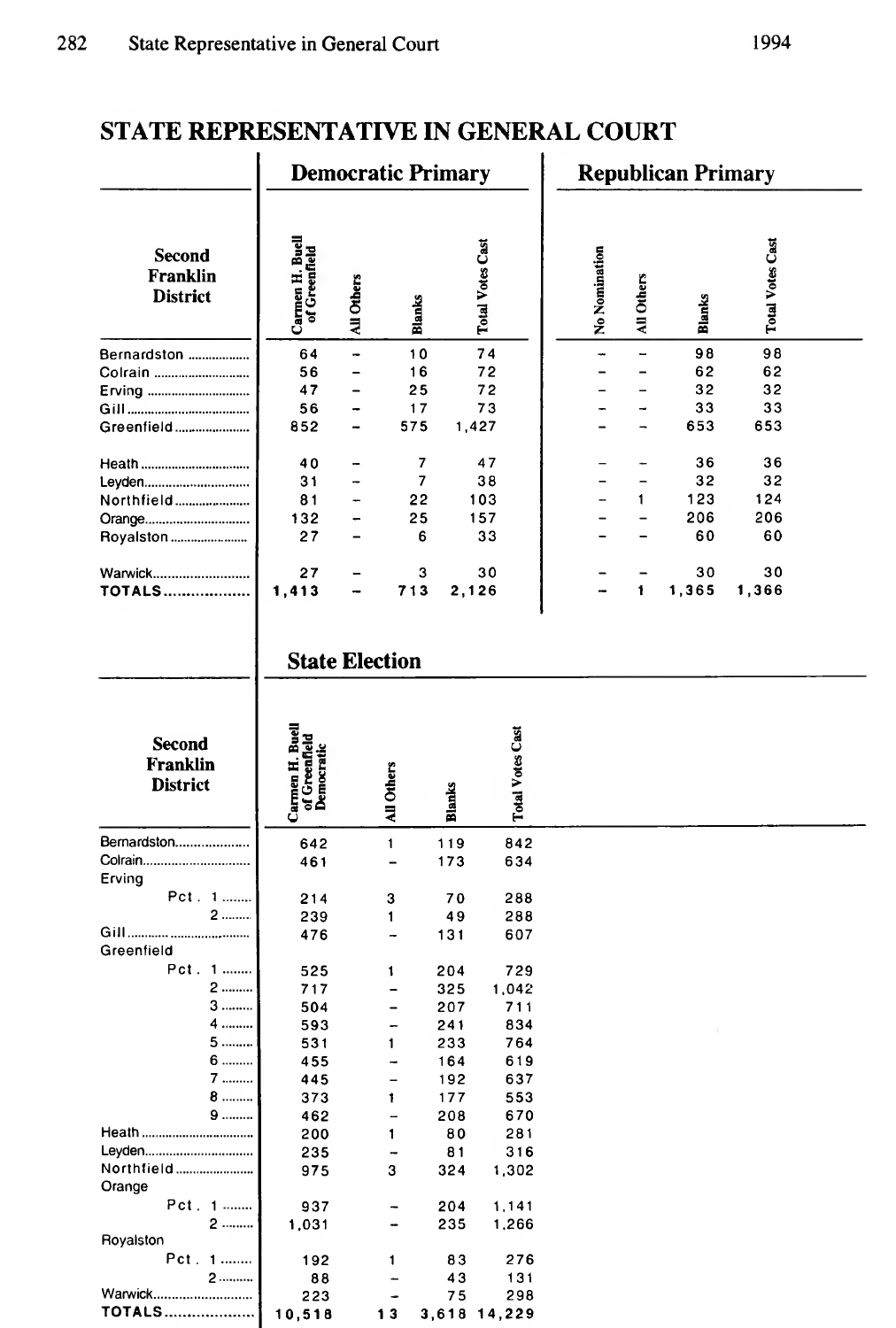|                                              |                                               | <b>Democratic Primary</b>        |               |                         |                |                                  | <b>Republican Primary</b> |                         |  |
|----------------------------------------------|-----------------------------------------------|----------------------------------|---------------|-------------------------|----------------|----------------------------------|---------------------------|-------------------------|--|
| <b>Second</b><br>Franklin<br><b>District</b> | Carmen H. Buell<br>of Greenfield              | All Others                       | <b>Blanks</b> | <b>Total Votes Cast</b> | No Nomination  | All Others                       | <b>Blanks</b>             | <b>Total Votes Cast</b> |  |
| Bernardston                                  | 64<br>56                                      | $\overline{a}$<br>$\overline{a}$ | 10<br>16      | 74<br>72                | L              | $\overline{a}$<br>$\overline{a}$ | 98<br>62                  | 98<br>62                |  |
| Erving                                       | 47                                            | -                                | 25            | 72                      |                | -                                | 32                        | 32                      |  |
|                                              | 56                                            |                                  | 17            | 73                      | ÷              | ٠                                | 33                        | 33                      |  |
| Greenfield                                   | 852                                           |                                  | 575           | 1,427                   |                | $\overline{a}$                   | 653                       | 653                     |  |
| Heath                                        | 40                                            | ۰                                | 7             | 47                      |                | ۰                                | 36                        | 36                      |  |
| Leyden                                       | 31                                            |                                  | 7             | 38                      | $\overline{a}$ | $\overline{a}$                   | 32                        | 32                      |  |
| Northfield                                   | 81<br>132                                     | ÷<br>۰                           | 22<br>25      | 103<br>157              |                | 1<br>۰                           | 123<br>206                | 124<br>206              |  |
| Orange<br>Royalston                          | 27                                            | $\overline{\phantom{a}}$         | 6             | 33                      |                |                                  | 60                        | 60                      |  |
|                                              |                                               |                                  |               |                         |                |                                  |                           |                         |  |
| Warwick                                      | 27                                            |                                  | 3             | 30                      |                |                                  | 30                        | 30                      |  |
| <b>TOTALS</b>                                | 1,413                                         |                                  | 713           | 2,126                   |                | 1                                | 1,365                     | 1,366                   |  |
|                                              |                                               | <b>State Election</b>            |               |                         |                |                                  |                           |                         |  |
| Second<br>Franklin<br><b>District</b>        | Carmen H. Buel<br>of Greenfield<br>Democratic | <b>All Others</b>                | <b>Blanks</b> | <b>Total Votes Cast</b> |                |                                  |                           |                         |  |
| Bernardston                                  | 642                                           | 1                                | 119           | 842                     |                |                                  |                           |                         |  |
| Colrain                                      | 461                                           | ۰                                | 173           | 634                     |                |                                  |                           |                         |  |
| Erving                                       |                                               |                                  |               |                         |                |                                  |                           |                         |  |
| Pct. 1                                       | 214                                           | 3                                | 70            | 288                     |                |                                  |                           |                         |  |
| 2                                            | 239                                           | 1                                | 49            | 288                     |                |                                  |                           |                         |  |
| Greenfield                                   | 476                                           |                                  | 131           | 607                     |                |                                  |                           |                         |  |
| Pct. 1                                       | 525                                           | 1                                | 204           | 729                     |                |                                  |                           |                         |  |
| 2                                            | 717                                           | ۰                                | 325           | 1.042                   |                |                                  |                           |                         |  |
| $3$                                          | 504                                           | L,                               | 207           | 711                     |                |                                  |                           |                         |  |
| 4                                            | 593                                           | ÷                                | 241           | 834                     |                |                                  |                           |                         |  |
| 5                                            | 531                                           | 1                                | 233           | 764                     |                |                                  |                           |                         |  |
| 6<br>$7$                                     | 455<br>445                                    | $\overline{a}$<br>L,             | 164           | 619<br>637              |                |                                  |                           |                         |  |
| 8                                            | 373                                           | 1                                | 192<br>177    | 553                     |                |                                  |                           |                         |  |
| 9                                            | 462                                           | -                                | 208           | 670                     |                |                                  |                           |                         |  |
|                                              | 200                                           | 1                                | 80            | 281                     |                |                                  |                           |                         |  |
| Leyden                                       | 235                                           | ۰                                | 81            | 316                     |                |                                  |                           |                         |  |
| Northfield<br>Orange                         | 975                                           | 3                                | 324           | 1,302                   |                |                                  |                           |                         |  |
| Pct.1 ………                                    | 937                                           |                                  | 204           | 1,141                   |                |                                  |                           |                         |  |
| 2                                            | 1.031                                         | ۰                                | 235           | 1,266                   |                |                                  |                           |                         |  |
| Royalston                                    |                                               |                                  |               |                         |                |                                  |                           |                         |  |
| Pct. 1                                       | 192                                           | 1                                | 83            | 276                     |                |                                  |                           |                         |  |
| 2<br>Warwick                                 | 88                                            | L.                               | 43            | 131<br>298              |                |                                  |                           |                         |  |
| <b>TOTALS</b>                                | 223<br>10,518                                 | 13                               | 75            | 3,618 14,229            |                |                                  |                           |                         |  |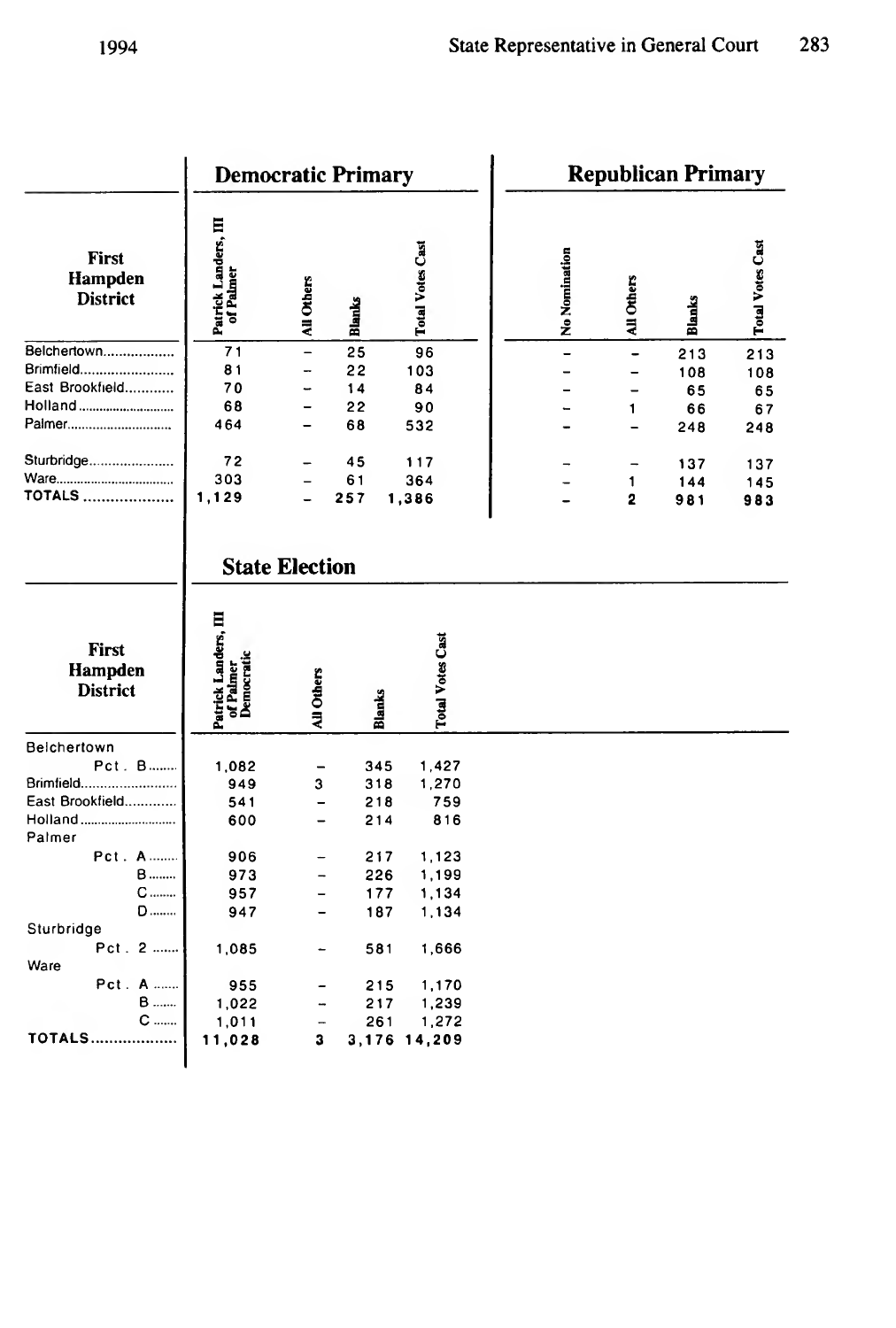|                                     |                                                 |                          | <b>Democratic Primary</b> |                         |  |                          |                | <b>Republican Primary</b> |                         |
|-------------------------------------|-------------------------------------------------|--------------------------|---------------------------|-------------------------|--|--------------------------|----------------|---------------------------|-------------------------|
| First<br>Hampden<br><b>District</b> | Patrick Landers, III<br>of Palmer               | All Others               | Blanks                    | <b>Total Votes Cast</b> |  | No Nomination            | All Others     | <b>Blanks</b>             | <b>Total Votes Cast</b> |
| Belchertown                         | 71                                              | $\overline{a}$           | 25                        | 96                      |  | ÷                        | $\overline{a}$ | 213                       | 213                     |
| Brimfield                           | 81                                              | -                        | 22                        | 103                     |  | $\overline{\phantom{0}}$ | ۰              | 108                       | 108                     |
| East Brookfield                     | 70                                              | -                        | 14                        | 84                      |  | -                        | ۰              | 65                        | 65                      |
|                                     | 68                                              | $\overline{a}$           | 22                        | 90                      |  |                          | 1              | 66                        | 67                      |
| Palmer                              | 464                                             |                          | 68                        | 532                     |  | -                        | ۰              | 248                       | 248                     |
| Sturbridge                          | 72                                              |                          | 45                        | 117                     |  |                          |                | 137                       | 137                     |
| Ware                                | 303                                             |                          | 61                        | 364                     |  |                          | 1              | 144                       | 145                     |
| <b>TOTALS</b>                       | 1,129                                           |                          | 257                       | 1,386                   |  |                          | 2              | 981                       | 983                     |
|                                     |                                                 | <b>State Election</b>    |                           |                         |  |                          |                |                           |                         |
| First<br>Hampden<br><b>District</b> | Patrick Landers, III<br>of Palmer<br>Democratic | All Others               | <b>Blanks</b>             | <b>Total Votes Cast</b> |  |                          |                |                           |                         |
| Belchertown                         |                                                 |                          |                           |                         |  |                          |                |                           |                         |
| Pct. B                              | 1,082                                           | $\overline{\phantom{0}}$ | 345                       | 1,427                   |  |                          |                |                           |                         |
| Brimfield                           | 949                                             | 3                        | 318                       | 1,270                   |  |                          |                |                           |                         |
| East Brookfield                     | 541                                             | $\overline{\phantom{0}}$ | 218                       | 759                     |  |                          |                |                           |                         |
| Holland<br>Palmer                   | 600                                             | -                        | 214                       | 816                     |  |                          |                |                           |                         |
| Pct. A                              | 906                                             |                          | 217                       | 1,123                   |  |                          |                |                           |                         |
| <b>B</b>                            | 973                                             | -                        | 226                       | 1,199                   |  |                          |                |                           |                         |
| C                                   | 957                                             | -                        | 177                       | 1,134                   |  |                          |                |                           |                         |
| <b>D</b>                            | 947                                             |                          | 187                       | 1,134                   |  |                          |                |                           |                         |
| Sturbridge<br>Pct. 2<br>Ware        | 1,085                                           | ÷.                       | 581                       | 1,666                   |  |                          |                |                           |                         |
| Pct. A                              | 955                                             |                          | 215                       | 1,170                   |  |                          |                |                           |                         |
| <b>B</b>                            | 1,022                                           | -                        | 217                       | 1,239                   |  |                          |                |                           |                         |
| C                                   | 1,011                                           |                          | 261                       | 1,272                   |  |                          |                |                           |                         |
| <b>TOTALS</b>                       | 11,028                                          | з                        |                           | 3,176 14,209            |  |                          |                |                           |                         |
|                                     |                                                 |                          |                           |                         |  |                          |                |                           |                         |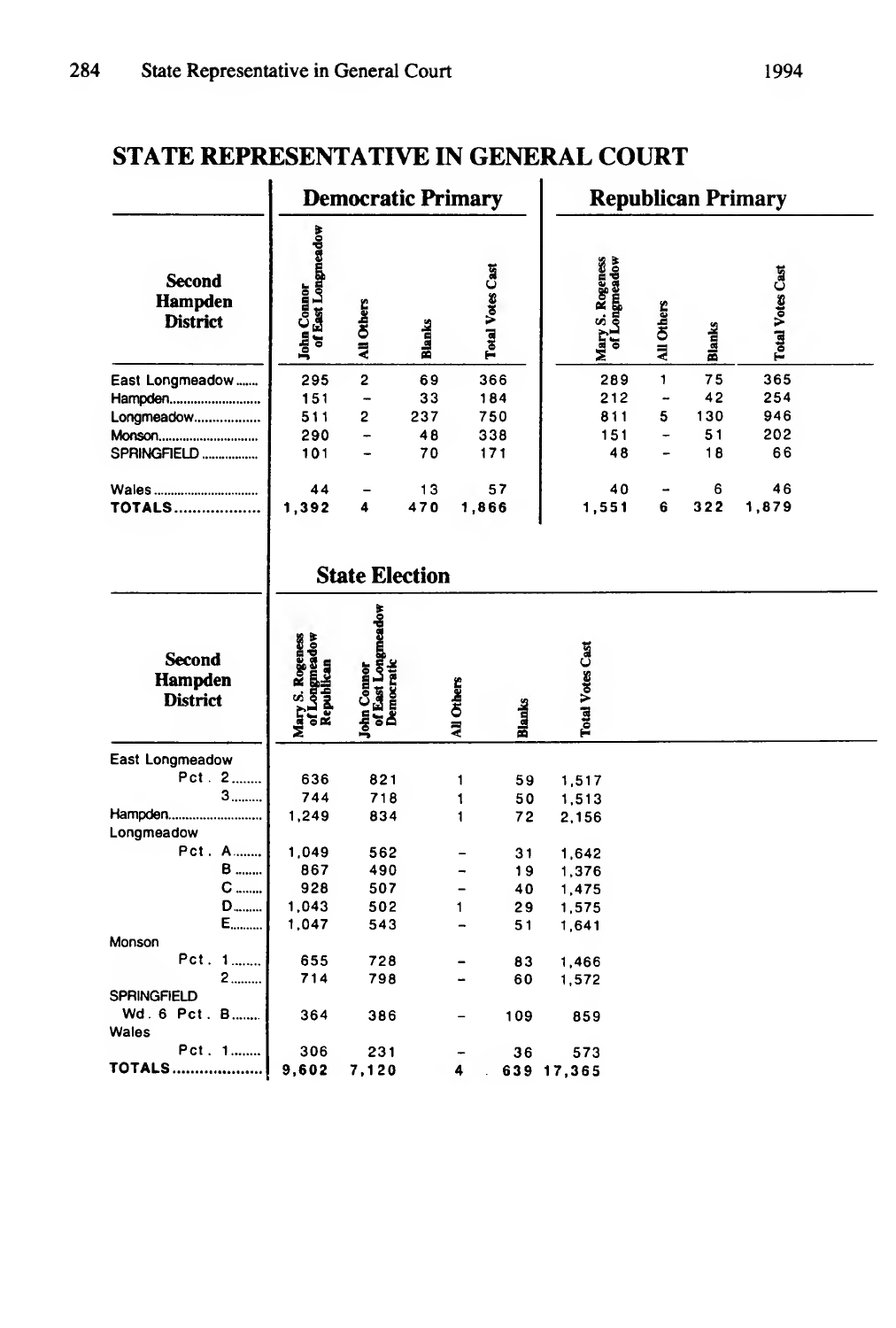|                                                                   |                                                 | <b>Democratic Primary</b>                       |                             |                         |                                 | <b>Republican Primary</b>        |                                   |                      |                             |                                |  |
|-------------------------------------------------------------------|-------------------------------------------------|-------------------------------------------------|-----------------------------|-------------------------|---------------------------------|----------------------------------|-----------------------------------|----------------------|-----------------------------|--------------------------------|--|
| <b>Second</b><br>Hampden<br><b>District</b>                       | John Connor<br>of East Longmeadow               | All Others                                      | <b>Blanks</b>               | <b>Total Votes Cast</b> |                                 |                                  | Mary S. Rogeness<br>of Longmeadow | All Others           | <b>Blanks</b>               | <b>Total Votes Cast</b>        |  |
| East Longmeadow<br>Hampden<br>Longmeadow<br>Monson<br>SPRINGFIELD | 295<br>151<br>511<br>290<br>101                 | 2<br>$\overline{\phantom{m}}$<br>2<br>-<br>۰    | 69<br>33<br>237<br>48<br>70 |                         | 366<br>184<br>750<br>338<br>171 |                                  | 289<br>212<br>811<br>151<br>48    | 1<br><br>5<br>-<br>- | 75<br>42<br>130<br>51<br>18 | 365<br>254<br>946<br>202<br>66 |  |
| Wales<br><b>TOTALS</b>                                            | 44<br>1,392                                     | 4                                               | 13<br>470                   | 1,866                   | 57                              | 1,551                            | 40                                | 6                    | 6<br>322                    | 46<br>1,879                    |  |
|                                                                   |                                                 | <b>State Election</b>                           |                             |                         |                                 |                                  |                                   |                      |                             |                                |  |
| Second<br>Hampden<br><b>District</b>                              | Mary S. Rogeness<br>of Longmeadow<br>Republican | John Connor<br>of East Longmeadow<br>Democratic |                             | All Others              | <b>Blanks</b>                   | <b>Total Votes Cast</b>          |                                   |                      |                             |                                |  |
| East Longmeadow<br>Pct. 2<br>3………<br>Hampden                      | 636<br>744<br>1,249                             | 821<br>718<br>834                               |                             | 1<br>1<br>1             | 59<br>50<br>72                  | 1,517<br>1,513<br>2,156          |                                   |                      |                             |                                |  |
| Longmeadow<br>Pct. A<br>B<br>c<br><b>D</b>                        | 1,049<br>867<br>928<br>1,043                    | 562<br>490<br>507<br>502                        |                             | -<br>-<br>1             | 31<br>19<br>40<br>29            | 1.642<br>1,376<br>1,475<br>1,575 |                                   |                      |                             |                                |  |
| E<br>Monson<br>Pct. 1<br>2<br>SPRINGFIELD                         | 1.047<br>655<br>714                             | 543<br>728<br>798                               |                             | -                       | 51<br>83<br>60                  | 1,641<br>1,466<br>1,572          |                                   |                      |                             |                                |  |
| Wd. 6 Pct. B<br>Wales<br>Pct. 1<br><b>TOTALS</b>                  | 364<br>306<br>9,602                             | 386<br>231<br>7,120                             |                             | 4                       | 109<br>36                       | 859<br>573<br>639 17,365         |                                   |                      |                             |                                |  |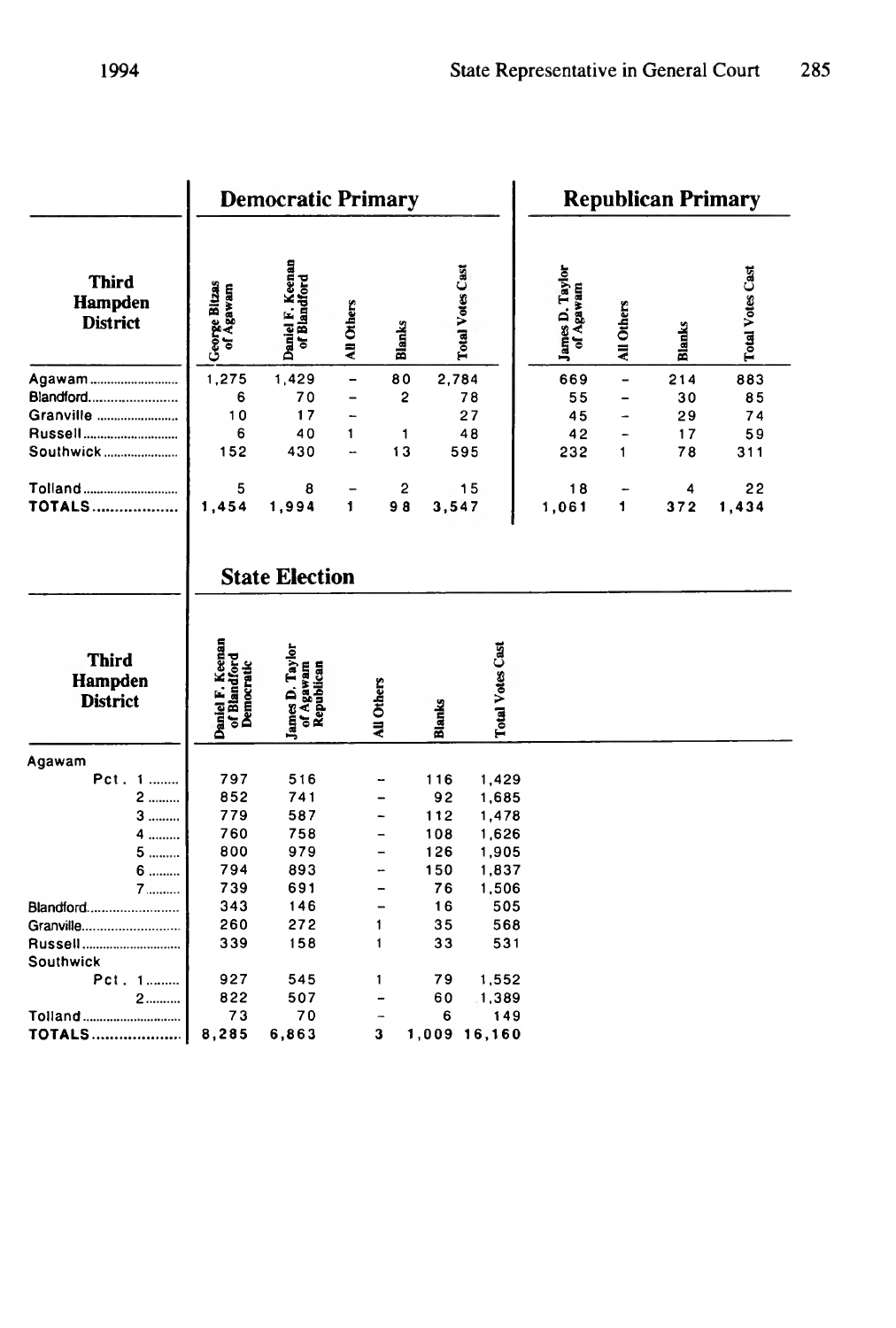|                                                                                       |                                                                    | <b>Democratic Primary</b>                                          |                                                             |                                                      |                                                               |                                                                                  |                              |                                    | <b>Republican Primary</b>   |                              |
|---------------------------------------------------------------------------------------|--------------------------------------------------------------------|--------------------------------------------------------------------|-------------------------------------------------------------|------------------------------------------------------|---------------------------------------------------------------|----------------------------------------------------------------------------------|------------------------------|------------------------------------|-----------------------------|------------------------------|
| <b>Third</b><br>Hampden<br><b>District</b>                                            | George Bitzas<br>of Agawam                                         | Daniel F. Keenan<br>of Blandford                                   | All Others                                                  | <b>Blanks</b>                                        |                                                               | <b>Total Votes Cast</b>                                                          | James D. Taylor<br>of Agawam | All Others                         | <b>Blanks</b>               | <b>Total Votes Cast</b>      |
| Agawam<br>Blandford<br>Granville<br>Russell<br>Southwick                              | 1,275<br>6<br>10<br>6<br>152                                       | 1,429<br>70<br>17<br>40<br>430                                     | ÷,<br>$\overline{\phantom{0}}$<br>1<br>$\ddot{\phantom{1}}$ | 80<br>2<br>1<br>13                                   |                                                               | 2,784<br>78<br>27<br>48<br>595                                                   | 669<br>55<br>45<br>42<br>232 | $\overline{a}$<br>-<br>÷<br>۰<br>1 | 214<br>30<br>29<br>17<br>78 | 883<br>85<br>74<br>59<br>311 |
| Tolland<br><b>TOTALS</b>                                                              | 5<br>1,454                                                         | 8<br>1,994                                                         | 1                                                           | 2<br>98                                              | 3,547                                                         | 15                                                                               | 18<br>1,061                  | ÷<br>1                             | 4<br>372                    | 22<br>1,434                  |
|                                                                                       |                                                                    | <b>State Election</b>                                              |                                                             |                                                      |                                                               |                                                                                  |                              |                                    |                             |                              |
| <b>Third</b><br>Hampden<br><b>District</b>                                            | Daniel F. Keenan<br>of Blandford<br>Democratic                     | James D. Taylor<br>of Agawam<br>Republican                         |                                                             | <b>All Others</b>                                    | <b>Blanks</b>                                                 | <b>Total Votes Cast</b>                                                          |                              |                                    |                             |                              |
| Agawam<br>Pct. 1<br>2<br>3<br>4<br>5<br>6<br>$7$<br>Blandford<br>Granville<br>Russell | 797<br>852<br>779<br>760<br>800<br>794<br>739<br>343<br>260<br>339 | 516<br>741<br>587<br>758<br>979<br>893<br>691<br>146<br>272<br>158 |                                                             | ÷<br>$\overline{\phantom{0}}$<br><br><br>-<br>1<br>1 | 116<br>92<br>112<br>108<br>126<br>150<br>76<br>16<br>35<br>33 | 1,429<br>1,685<br>1,478<br>1,626<br>1,905<br>1,837<br>1,506<br>505<br>568<br>531 |                              |                                    |                             |                              |
| Southwick<br>Pct. 1<br>2<br>Tolland<br><b>TOTALS</b>                                  | 927<br>822<br>73<br>8,285                                          | 545<br>507<br>70<br>6,863                                          |                                                             | 1<br>L.<br>3                                         | 79<br>60<br>6                                                 | 1,552<br>1,389<br>149<br>1,009 16,160                                            |                              |                                    |                             |                              |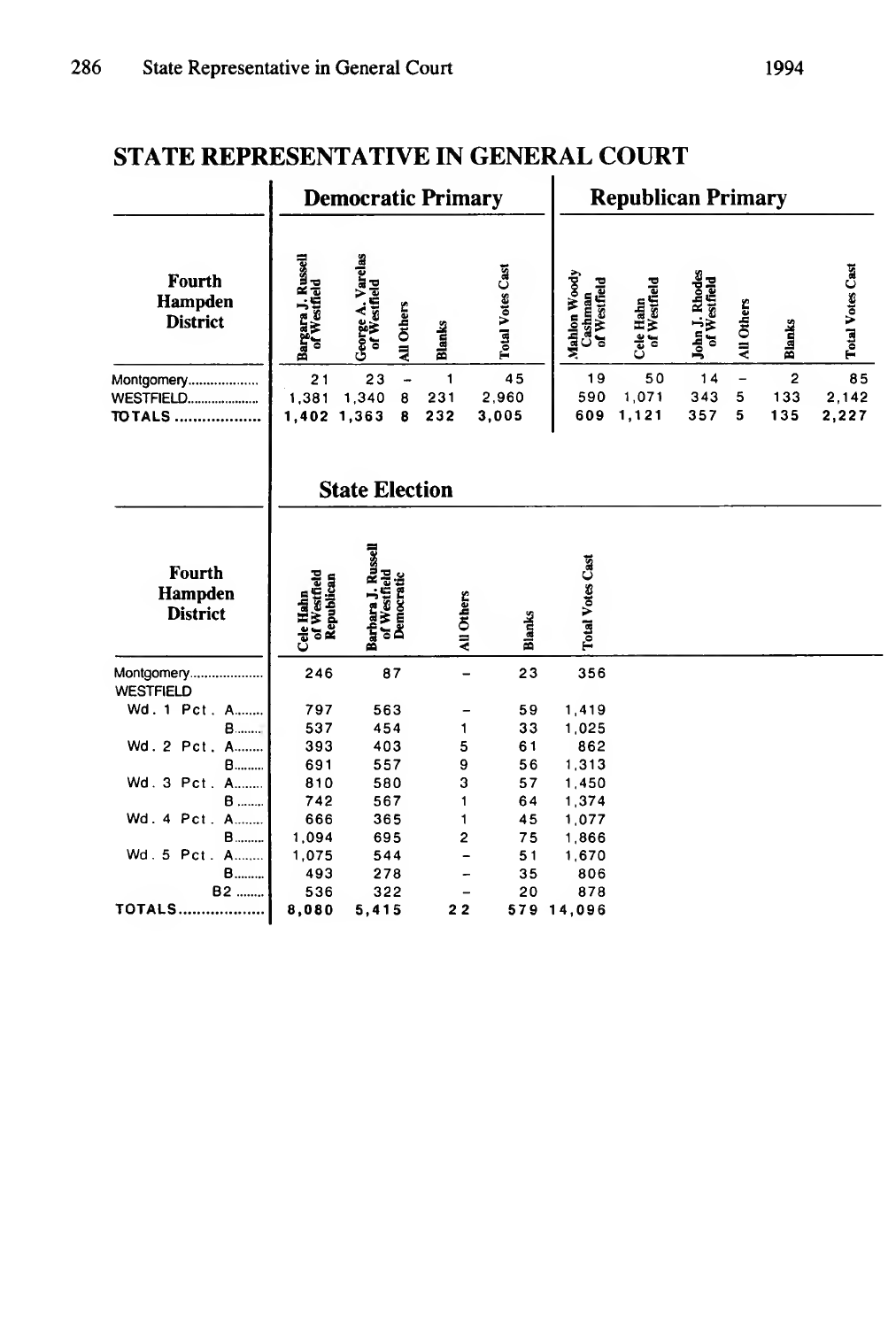| STATE REPRESENTATIVE IN GENERAL COURT |                           |             |               |               |                         |                                       |                           |                                      |            |               |                       |  |  |
|---------------------------------------|---------------------------|-------------|---------------|---------------|-------------------------|---------------------------------------|---------------------------|--------------------------------------|------------|---------------|-----------------------|--|--|
|                                       | <b>Democratic Primary</b> |             |               |               |                         |                                       | <b>Republican Primary</b> |                                      |            |               |                       |  |  |
| Fourth<br>Hampden<br><b>District</b>  |                           | theid       | <b>Others</b> | <b>Blanks</b> | <b>Total Votes Cast</b> | estfield<br>shman<br>Westfie<br>ahlon | Hahr<br>Westfie<br>유능     | Rhode<br>estfield<br>John J.<br>of W | All Others | <b>Blanks</b> | Votes<br><b>Total</b> |  |  |
| Montgomery                            | 21                        | 23          |               |               | 45                      | 19                                    | 50                        | 14                                   |            | 2             | 85                    |  |  |
| WESTFIELD                             | 1.381                     | 1.340       | 8             | 231           | 2.960                   | 590                                   | 1.071                     | 343                                  | 5          | 133           | 2.142                 |  |  |
| <b>TO TALS</b>                        |                           | 1,402 1,363 | 8             | 232           | 3.005                   | 609                                   | 1.121                     | 357                                  | 5          | 135           | 2,227                 |  |  |

#### S<sub>1</sub>

## **State Election**

| Fourth<br>Hampden<br><b>District</b> | Cele Hahn<br>of Westfield<br>Republican | 큏<br>ä<br>estfield<br>of Westfield<br>Democratic<br><b>Barbara</b> | All Others | <b>Blanks</b> | <b>Total Votes Cast</b> |  |
|--------------------------------------|-----------------------------------------|--------------------------------------------------------------------|------------|---------------|-------------------------|--|
| Montgomery                           | 246                                     | 87                                                                 |            | 23            | 356                     |  |
| <b>WESTFIELD</b>                     |                                         |                                                                    |            |               |                         |  |
| Wd. 1 Pct. A                         | 797                                     | 563                                                                |            | 59            | 1,419                   |  |
| <b>B</b>                             | 537                                     | 454                                                                | 1          | 33            | 1,025                   |  |
| Wd. 2 Pct. A                         | 393                                     | 403                                                                | 5          | 61            | 862                     |  |
| <b>B</b>                             | 691                                     | 557                                                                | 9          | 56            | 1,313                   |  |
| Wd. 3 Pct.<br>A                      | 810                                     | 580                                                                | 3          | 57            | 1,450                   |  |
| <b>B</b>                             | 742                                     | 567                                                                |            | 64            | 1,374                   |  |
| Wd. 4 Pct. A                         | 666                                     | 365                                                                |            | 45            | 1,077                   |  |
| <b>B</b>                             | 1,094                                   | 695                                                                | 2          | 75            | 1,866                   |  |
| Wd. 5 Pct.<br>A                      | 1,075                                   | 544                                                                | -          | 51            | 1,670                   |  |
| <b>B</b>                             | 493                                     | 278                                                                | -          | 35            | 806                     |  |
| B2                                   | 536                                     | 322                                                                |            | 20            | 878                     |  |
| <b>TOTALS</b>                        | 8,080                                   | 5,415                                                              | 22         | 579           | 14,096                  |  |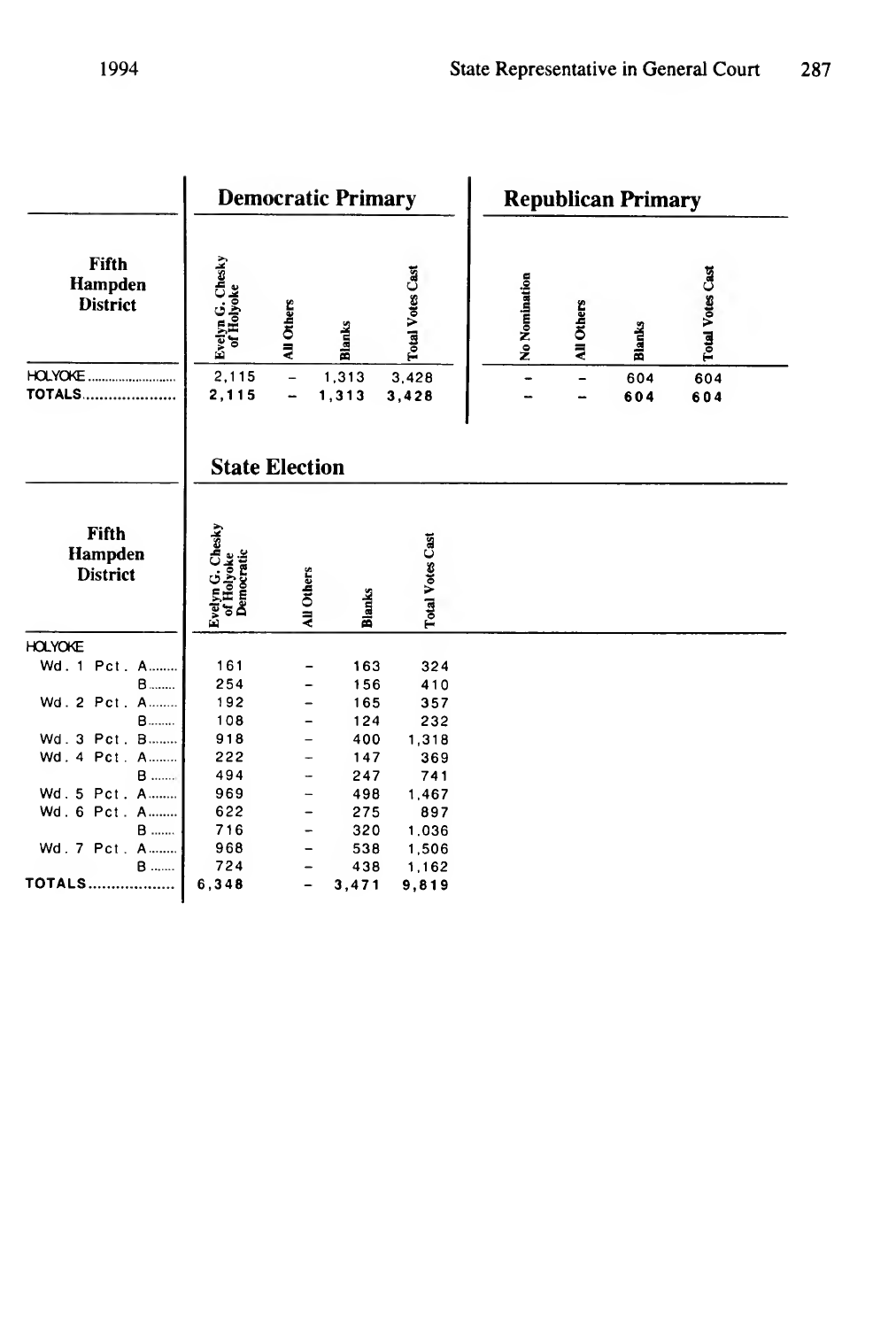|                                     |                                              |                                  | <b>Democratic Primary</b> |                         |  | <b>Republican Primary</b> |                                  |               |                         |  |  |  |
|-------------------------------------|----------------------------------------------|----------------------------------|---------------------------|-------------------------|--|---------------------------|----------------------------------|---------------|-------------------------|--|--|--|
| Fifth<br>Hampden<br><b>District</b> | Evelyn G. Chesky<br>of Holyoke               | All Others                       | <b>Blanks</b>             | Total Votes Cast        |  | No Nomination             | All Others                       | <b>Blanks</b> | <b>Total Votes Cast</b> |  |  |  |
| <b>HOLYOKE</b><br><b>TOTALS</b>     | 2,115<br>2,115                               | $\overline{a}$<br>$\overline{a}$ | 1,313<br>1,313            | 3,428<br>3,428          |  | -                         | $\overline{a}$<br>$\blacksquare$ | 604<br>604    | 604<br>604              |  |  |  |
|                                     | <b>State Election</b>                        |                                  |                           |                         |  |                           |                                  |               |                         |  |  |  |
| Fifth<br>Hampden<br><b>District</b> | Evelyn G. Chesky<br>of Holyoke<br>Democratic | All Others                       | <b>Blanks</b>             | <b>Total Votes Cast</b> |  |                           |                                  |               |                         |  |  |  |
| <b>HOLYOKE</b>                      |                                              |                                  |                           |                         |  |                           |                                  |               |                         |  |  |  |
| Wd. 1 Pct. A                        | 161                                          |                                  | 163                       | 324                     |  |                           |                                  |               |                         |  |  |  |
| <b>B</b><br>Wd. 2 Pct. A            | 254<br>192                                   |                                  | 156                       | 410                     |  |                           |                                  |               |                         |  |  |  |
| <b>B</b>                            | 108                                          | -                                | 165<br>124                | 357<br>232              |  |                           |                                  |               |                         |  |  |  |
| Wd. 3 Pct. B                        | 918                                          | -                                | 400                       | 1,318                   |  |                           |                                  |               |                         |  |  |  |
| Wd. 4 Pct. A                        | 222                                          | ۰                                | 147                       | 369                     |  |                           |                                  |               |                         |  |  |  |
| <b>B</b>                            | 494                                          | -                                | 247                       | 741                     |  |                           |                                  |               |                         |  |  |  |
| Wd. 5 Pct. A                        | 969                                          | -                                | 498                       | 1,467                   |  |                           |                                  |               |                         |  |  |  |
| Wd. 6 Pct. A                        | 622                                          |                                  | 275                       | 897                     |  |                           |                                  |               |                         |  |  |  |
| <b>B</b>                            | 716                                          | -                                | 320                       | 1,036                   |  |                           |                                  |               |                         |  |  |  |
| Wd. 7 Pct. A                        | 968                                          | -                                | 538                       | 1,506                   |  |                           |                                  |               |                         |  |  |  |
| <b>B</b><br><b>TOTALS</b>           | 724<br>6,348                                 | $\qquad \qquad -$                | 438<br>3,471              | 1,162<br>9,819          |  |                           |                                  |               |                         |  |  |  |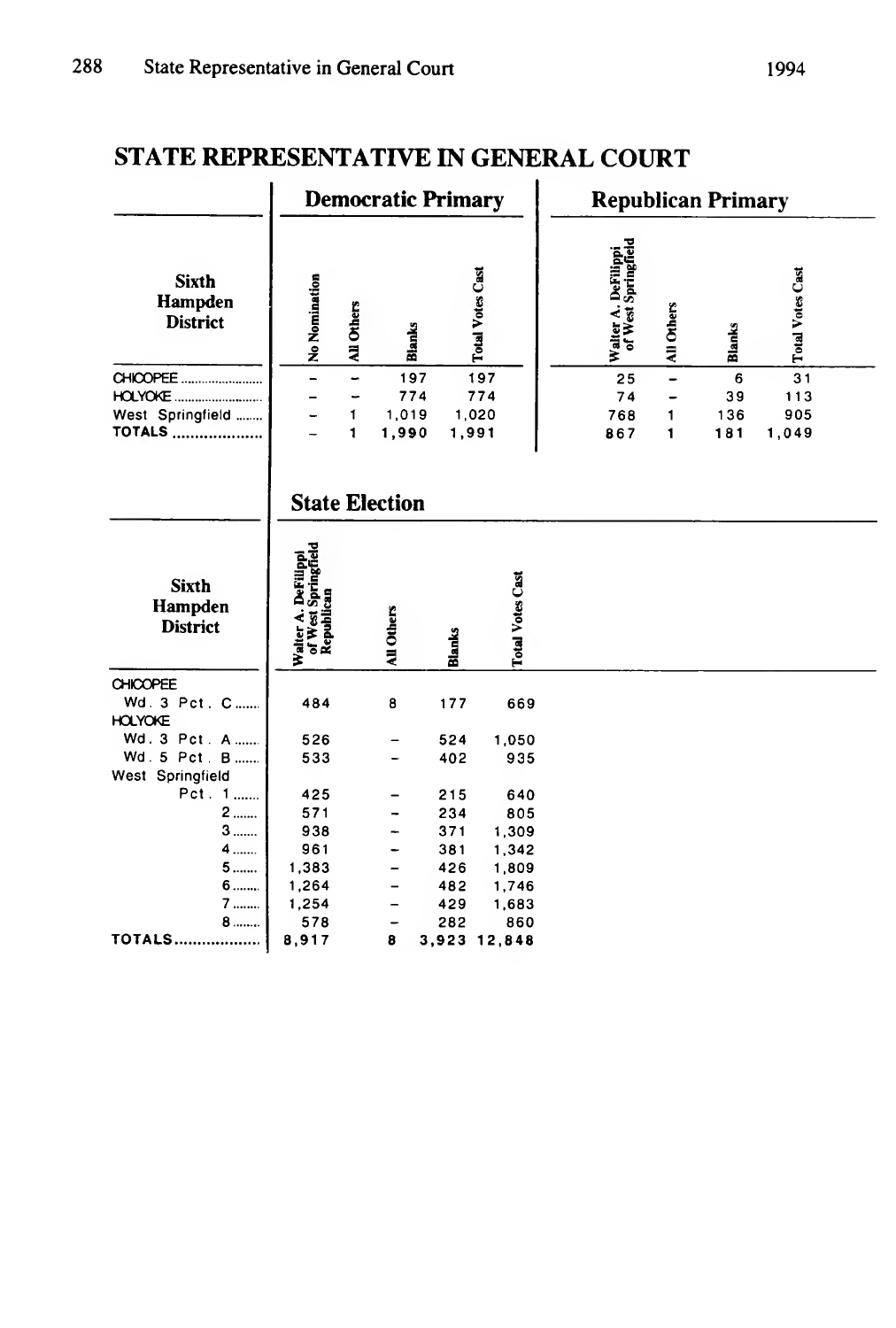|                                            |                                                          |                   | <b>Democratic Primary</b> |               |                         | <b>Republican Primary</b> |                                            |                |               |                         |  |
|--------------------------------------------|----------------------------------------------------------|-------------------|---------------------------|---------------|-------------------------|---------------------------|--------------------------------------------|----------------|---------------|-------------------------|--|
| <b>Sixth</b><br>Hampden<br><b>District</b> | No Nomination                                            | <b>All Others</b> | <b>Blanks</b>             |               | <b>Total Votes Cast</b> |                           | Walter A. DeFilippi<br>of West Springfield | All Others     | <b>Blanks</b> | <b>Total Votes Cast</b> |  |
| CHICOPEE                                   | L                                                        | -                 | 197                       |               | 197                     |                           | 25                                         | $\overline{a}$ | 6             | 31                      |  |
| <b>HOLYOKE</b>                             | -                                                        | ٠                 | 774                       |               | 774                     |                           | 74                                         | -              | 39            | 113                     |  |
| West Springfield                           | L                                                        | 1                 | 1,019                     |               | 1,020                   |                           | 768                                        | 1              | 136           | 905                     |  |
| <b>TOTALS</b>                              |                                                          | 1                 | 1,990                     |               | 1,991                   |                           | 867                                        | 1              | 181           | 1,049                   |  |
|                                            | <b>State Election</b>                                    |                   |                           |               |                         |                           |                                            |                |               |                         |  |
| <b>Sixth</b><br>Hampden<br><b>District</b> | Watter A. DeFilippi<br>of West Springfield<br>Republican |                   | <b>All Others</b>         | <b>Blanks</b> | <b>Total Votes Cast</b> |                           |                                            |                |               |                         |  |
| <b>CHICOPEE</b>                            |                                                          |                   |                           |               |                         |                           |                                            |                |               |                         |  |
| Wd. 3 Pct. C<br><b>HOLYOKE</b>             | 484                                                      |                   | 8                         | 177           | 669                     |                           |                                            |                |               |                         |  |
| Wd. 3 Pct. A                               | 526                                                      |                   |                           | 524           | 1,050                   |                           |                                            |                |               |                         |  |
| Wd. 5 Pct. B                               | 533                                                      |                   |                           | 402           | 935                     |                           |                                            |                |               |                         |  |
| West Springfield                           |                                                          |                   |                           |               |                         |                           |                                            |                |               |                         |  |
| Pct. 1                                     | 425                                                      |                   |                           | 215           | 640                     |                           |                                            |                |               |                         |  |
| $2$                                        | 571                                                      |                   |                           | 234           | 805                     |                           |                                            |                |               |                         |  |
| $3$<br>$4$                                 | 938<br>961                                               |                   |                           | 371<br>381    | 1,309<br>1,342          |                           |                                            |                |               |                         |  |
| $5$                                        | 1,383                                                    |                   |                           | 426           | 1,809                   |                           |                                            |                |               |                         |  |
| 6                                          | 1,264                                                    |                   | -                         | 482           | 1,746                   |                           |                                            |                |               |                         |  |
| $7$                                        | 1,254                                                    |                   | -                         | 429           | 1,683                   |                           |                                            |                |               |                         |  |
| $8$                                        | 578                                                      |                   |                           | 282           | 860                     |                           |                                            |                |               |                         |  |
| <b>TOTALS</b>                              | 8,917                                                    |                   | 8                         |               | 3,923 12,848            |                           |                                            |                |               |                         |  |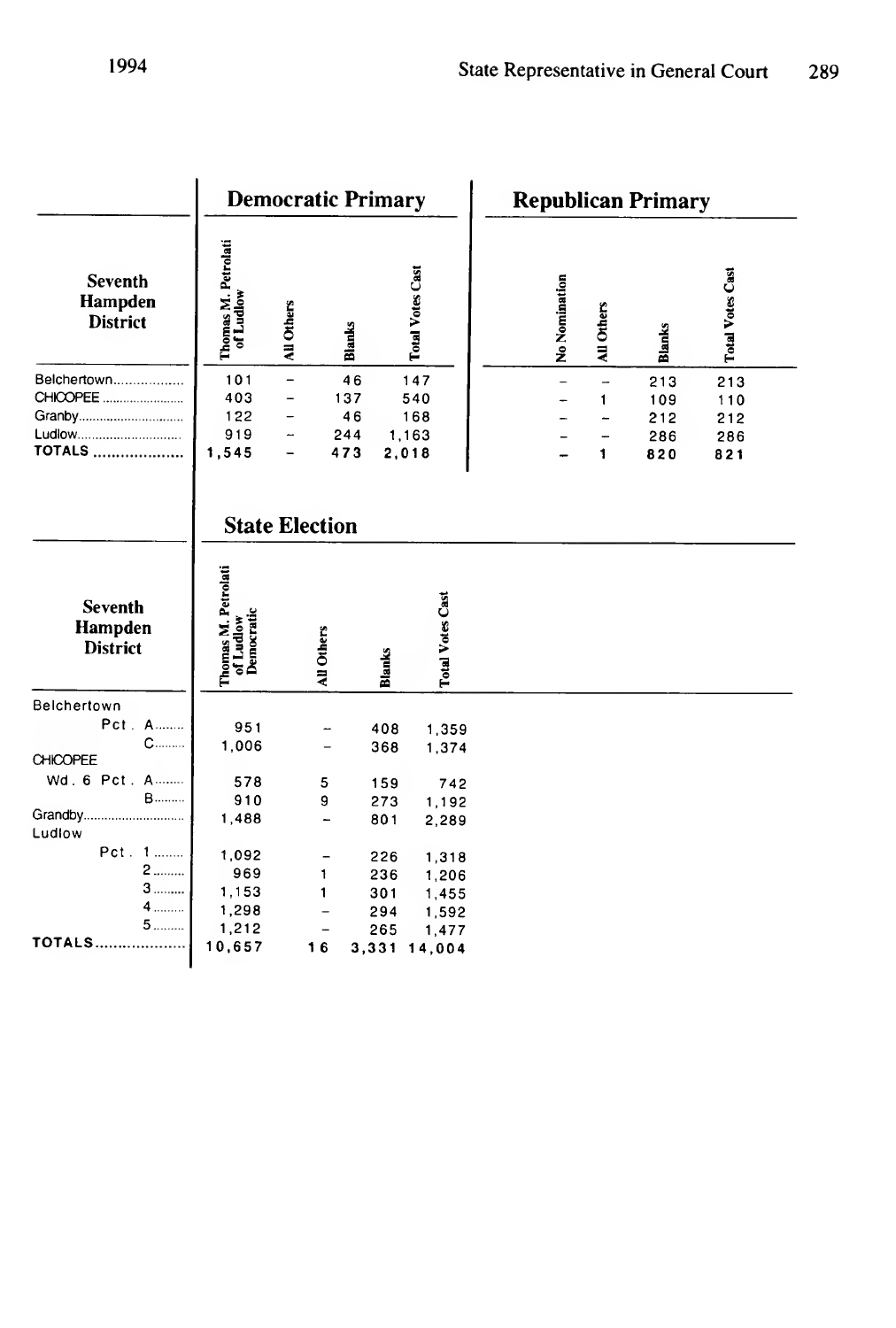|                                         |                                                | <b>Democratic Primary</b> |               |                         | <b>Republican Primary</b> |                      |              |               |                         |  |
|-----------------------------------------|------------------------------------------------|---------------------------|---------------|-------------------------|---------------------------|----------------------|--------------|---------------|-------------------------|--|
| Seventh<br>Hampden<br><b>District</b>   | Thomas M. Petrolati<br>of Ludlow               | All Others                | <b>Blanks</b> | <b>Total Votes Cast</b> |                           | <b>No Nomination</b> | All Others   | <b>Blanks</b> | <b>Total Votes Cast</b> |  |
| Belchertown                             | 101                                            | $\overline{\phantom{0}}$  | 46<br>147     |                         |                           |                      | L.           | 213           | 213                     |  |
| CHICOPEE                                | 403                                            | $\overline{a}$            | 137           | 540                     |                           |                      | $\mathbf{1}$ | 109           | 110                     |  |
| Granby                                  | 122                                            | -                         | 46            | 168                     |                           |                      | Ĭ.           | 212           | 212                     |  |
| Ludlow<br><b>TOTALS</b>                 | 919<br>1,545                                   | -                         | 244<br>473    | 1,163<br>2,018          |                           |                      | 1            | 286<br>820    | 286                     |  |
|                                         |                                                |                           |               |                         |                           |                      |              |               | 821                     |  |
|                                         | <b>State Election</b>                          |                           |               |                         |                           |                      |              |               |                         |  |
| Seventh<br>Hampden<br><b>District</b>   | Thomas M. Petrolati<br>of Ludlow<br>Democratic | All Others                | <b>Blanks</b> | <b>Total Votes Cast</b> |                           |                      |              |               |                         |  |
| Belchertown                             |                                                |                           |               |                         |                           |                      |              |               |                         |  |
| Pct. A                                  | 951                                            |                           | 408           | 1,359                   |                           |                      |              |               |                         |  |
| ${\bf C}$ . $\ldots$<br><b>CHICOPEE</b> | 1,006                                          |                           | 368           | 1,374                   |                           |                      |              |               |                         |  |
| Wd. 6 Pct. A                            | 578                                            | 5                         | 159           | 742                     |                           |                      |              |               |                         |  |
| <b>B</b><br>Grandby                     | 910                                            | 9                         | 273           | 1,192                   |                           |                      |              |               |                         |  |
| Ludlow                                  | 1.488                                          | $\overline{\phantom{0}}$  | 801           | 2.289                   |                           |                      |              |               |                         |  |
| Pct. 1<br>$2$                           | 1,092                                          |                           | 226           | 1,318                   |                           |                      |              |               |                         |  |
| $3$                                     | 969                                            | 1                         | 236           | 1,206                   |                           |                      |              |               |                         |  |
| $4$                                     | 1.153                                          | 1                         | 301           | 1,455                   |                           |                      |              |               |                         |  |
| 5                                       | 1,298<br>1,212                                 |                           | 294<br>265    | 1,592                   |                           |                      |              |               |                         |  |
| <b>TOTALS</b>                           | 10,657                                         | 16                        |               | 1,477<br>3,331 14,004   |                           |                      |              |               |                         |  |